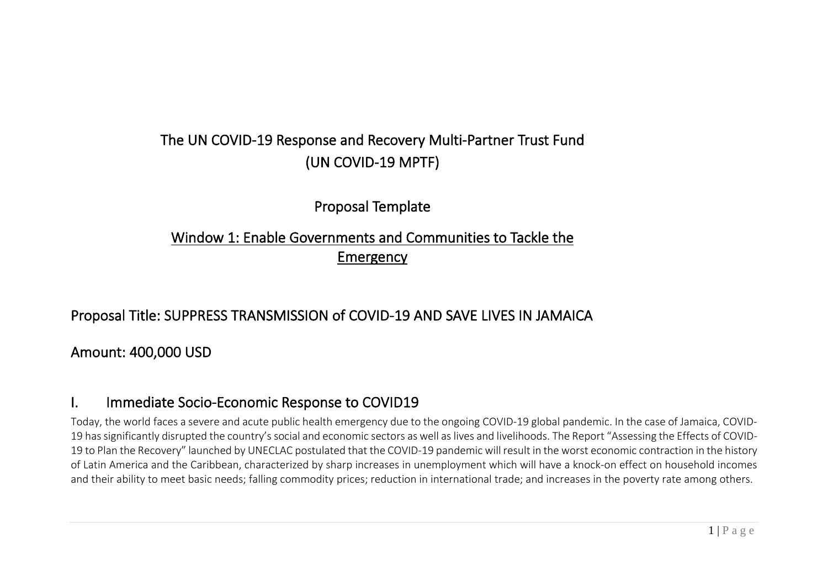# The UN COVID-19 Response and Recovery Multi-Partner Trust Fund (UN COVID-19 MPTF)

Proposal Template

# Window 1: Enable Governments and Communities to Tackle the Emergency

### Proposal Title: SUPPRESS TRANSMISSION of COVID-19 AND SAVE LIVES IN JAMAICA

Amount: 400,000 USD

### I. Immediate Socio-Economic Response to COVID19

Today, the world faces a severe and acute public health emergency due to the ongoing COVID-19 global pandemic. In the case of Jamaica, COVID-19 has significantly disrupted the country's social and economic sectors as well as lives and livelihoods. The Report "Assessing the Effects of COVID-19 to Plan the Recovery" launched by UNECLAC postulated that the COVID-19 pandemic will result in the worst economic contraction in the history of Latin America and the Caribbean, characterized by sharp increases in unemployment which will have a knock-on effect on household incomes and their ability to meet basic needs; falling commodity prices; reduction in international trade; and increases in the poverty rate among others.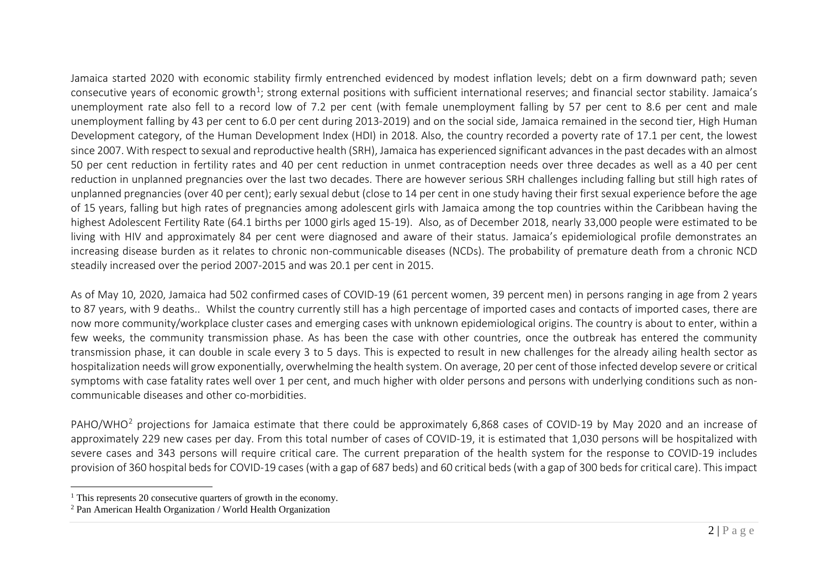<span id="page-1-1"></span><span id="page-1-0"></span>Jamaica started 2020 with economic stability firmly entrenched evidenced by modest inflation levels; debt on a firm downward path; seven consecutive years of economic growth<sup>1</sup>; strong external positions with sufficient international reserves; and financial sector stability. Jamaica's unemployment rate also fell to a record low of 7.2 per cent (with female unemployment falling by 57 per cent to 8.6 per cent and male unemployment falling by 43 per cent to 6.0 per cent during 2013-2019) and on the social side, Jamaica remained in the second tier, High Human Development category, of the Human Development Index (HDI) in 2018. Also, the country recorded a poverty rate of 17.1 per cent, the lowest since 2007. With respect to sexual and reproductive health (SRH), Jamaica has experienced significant advances in the past decades with an almost 50 per cent reduction in fertility rates and 40 per cent reduction in unmet contraception needs over three decades as well as a 40 per cent reduction in unplanned pregnancies over the last two decades. There are however serious SRH challenges including falling but still high rates of unplanned pregnancies (over 40 per cent); early sexual debut (close to 14 per cent in one study having their first sexual experience before the age of 15 years, falling but high rates of pregnancies among adolescent girls with Jamaica among the top countries within the Caribbean having the highest Adolescent Fertility Rate (64.1 births per 1000 girls aged 15-19). Also, as of December 2018, nearly 33,000 people were estimated to be living with HIV and approximately 84 per cent were diagnosed and aware of their status. Jamaica's epidemiological profile demonstrates an increasing disease burden as it relates to chronic non-communicable diseases (NCDs). The probability of premature death from a chronic NCD steadily increased over the period 2007-2015 and was 20.1 per cent in 2015.

As of May 10, 2020, Jamaica had 502 confirmed cases of COVID-19 (61 percent women, 39 percent men) in persons ranging in age from 2 years to 87 years, with 9 deaths.. Whilst the country currently still has a high percentage of imported cases and contacts of imported cases, there are now more community/workplace cluster cases and emerging cases with unknown epidemiological origins. The country is about to enter, within a few weeks, the community transmission phase. As has been the case with other countries, once the outbreak has entered the community transmission phase, it can double in scale every 3 to 5 days. This is expected to result in new challenges for the already ailing health sector as hospitalization needs will grow exponentially, overwhelming the health system. On average, 20 per cent of those infected develop severe or critical symptoms with case fatality rates well over 1 per cent, and much higher with older persons and persons with underlying conditions such as noncommunicable diseases and other co-morbidities.

PAHO/WHO<sup>[2](#page-1-1)</sup> projections for Jamaica estimate that there could be approximately 6,868 cases of COVID-19 by May 2020 and an increase of approximately 229 new cases per day. From this total number of cases of COVID-19, it is estimated that 1,030 persons will be hospitalized with severe cases and 343 persons will require critical care. The current preparation of the health system for the response to COVID-19 includes provision of 360 hospital beds for COVID-19 cases (with a gap of 687 beds) and 60 critical beds (with a gap of 300 beds for critical care). This impact

 $<sup>1</sup>$  This represents 20 consecutive quarters of growth in the economy.</sup>

<sup>2</sup> Pan American Health Organization / World Health Organization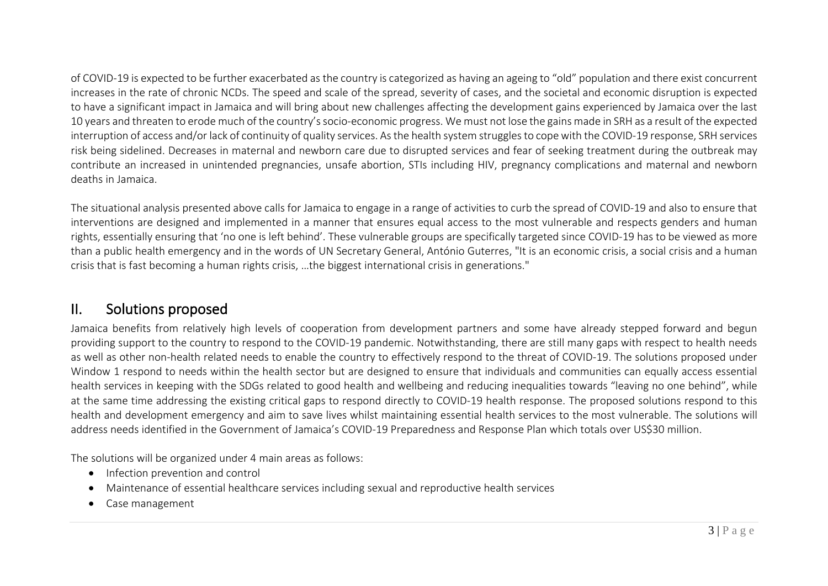of COVID-19 is expected to be further exacerbated as the country is categorized as having an ageing to "old" population and there exist concurrent increases in the rate of chronic NCDs. The speed and scale of the spread, severity of cases, and the societal and economic disruption is expected to have a significant impact in Jamaica and will bring about new challenges affecting the development gains experienced by Jamaica over the last 10 years and threaten to erode much of the country's socio-economic progress. We must not lose the gains made in SRH as a result of the expected interruption of access and/or lack of continuity of quality services. As the health system struggles to cope with the COVID-19 response, SRH services risk being sidelined. Decreases in maternal and newborn care due to disrupted services and fear of seeking treatment during the outbreak may contribute an increased in unintended pregnancies, unsafe abortion, STIs including HIV, pregnancy complications and maternal and newborn deaths in Jamaica.

The situational analysis presented above calls for Jamaica to engage in a range of activities to curb the spread of COVID-19 and also to ensure that interventions are designed and implemented in a manner that ensures equal access to the most vulnerable and respects genders and human rights, essentially ensuring that 'no one is left behind'. These vulnerable groups are specifically targeted since COVID-19 has to be viewed as more than a public health emergency and in the words of UN Secretary General, António Guterres, "It is an economic crisis, a social crisis and a human crisis that is fast becoming a human rights crisis, …the biggest international crisis in generations."

### II. Solutions proposed

Jamaica benefits from relatively high levels of cooperation from development partners and some have already stepped forward and begun providing support to the country to respond to the COVID-19 pandemic. Notwithstanding, there are still many gaps with respect to health needs as well as other non-health related needs to enable the country to effectively respond to the threat of COVID-19. The solutions proposed under Window 1 respond to needs within the health sector but are designed to ensure that individuals and communities can equally access essential health services in keeping with the SDGs related to good health and wellbeing and reducing inequalities towards "leaving no one behind", while at the same time addressing the existing critical gaps to respond directly to COVID-19 health response. The proposed solutions respond to this health and development emergency and aim to save lives whilst maintaining essential health services to the most vulnerable. The solutions will address needs identified in the Government of Jamaica's COVID-19 Preparedness and Response Plan which totals over US\$30 million.

The solutions will be organized under 4 main areas as follows:

- Infection prevention and control
- Maintenance of essential healthcare services including sexual and reproductive health services
- Case management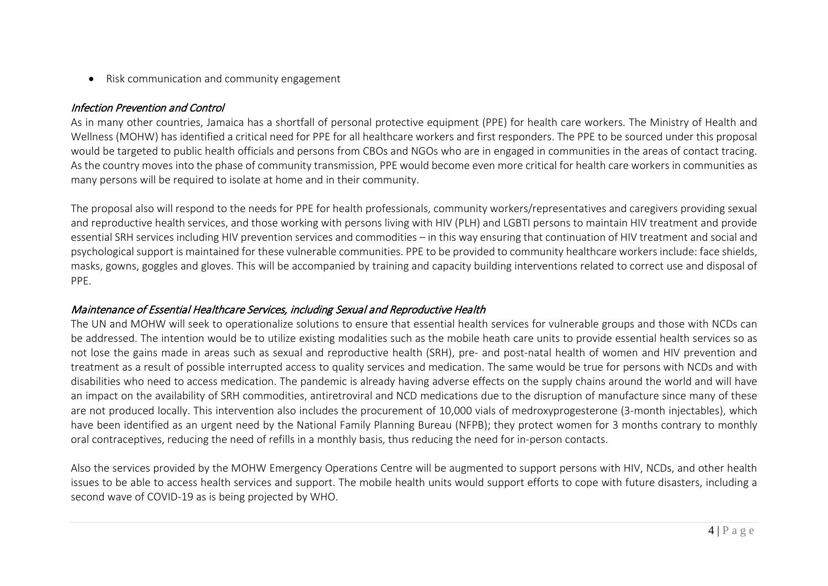• Risk communication and community engagement

#### Infection Prevention and Control

As in many other countries, Jamaica has a shortfall of personal protective equipment (PPE) for health care workers. The Ministry of Health and Wellness (MOHW) has identified a critical need for PPE for all healthcare workers and first responders. The PPE to be sourced under this proposal would be targeted to public health officials and persons from CBOs and NGOs who are in engaged in communities in the areas of contact tracing. As the country moves into the phase of community transmission, PPE would become even more critical for health care workers in communities as many persons will be required to isolate at home and in their community.

The proposal also will respond to the needs for PPE for health professionals, community workers/representatives and caregivers providing sexual and reproductive health services, and those working with persons living with HIV (PLH) and LGBTI persons to maintain HIV treatment and provide essential SRH services including HIV prevention services and commodities – in this way ensuring that continuation of HIV treatment and social and psychological support is maintained for these vulnerable communities. PPE to be provided to community healthcare workers include: face shields, masks, gowns, goggles and gloves. This will be accompanied by training and capacity building interventions related to correct use and disposal of PPE.

### Maintenance of Essential Healthcare Services, including Sexual and Reproductive Health

The UN and MOHW will seek to operationalize solutions to ensure that essential health services for vulnerable groups and those with NCDs can be addressed. The intention would be to utilize existing modalities such as the mobile heath care units to provide essential health services so as not lose the gains made in areas such as sexual and reproductive health (SRH), pre- and post-natal health of women and HIV prevention and treatment as a result of possible interrupted access to quality services and medication. The same would be true for persons with NCDs and with disabilities who need to access medication. The pandemic is already having adverse effects on the supply chains around the world and will have an impact on the availability of SRH commodities, antiretroviral and NCD medications due to the disruption of manufacture since many of these are not produced locally. This intervention also includes the procurement of 10,000 vials of medroxyprogesterone (3-month injectables), which have been identified as an urgent need by the National Family Planning Bureau (NFPB); they protect women for 3 months contrary to monthly oral contraceptives, reducing the need of refills in a monthly basis, thus reducing the need for in-person contacts.

Also the services provided by the MOHW Emergency Operations Centre will be augmented to support persons with HIV, NCDs, and other health issues to be able to access health services and support. The mobile health units would support efforts to cope with future disasters, including a second wave of COVID-19 as is being projected by WHO.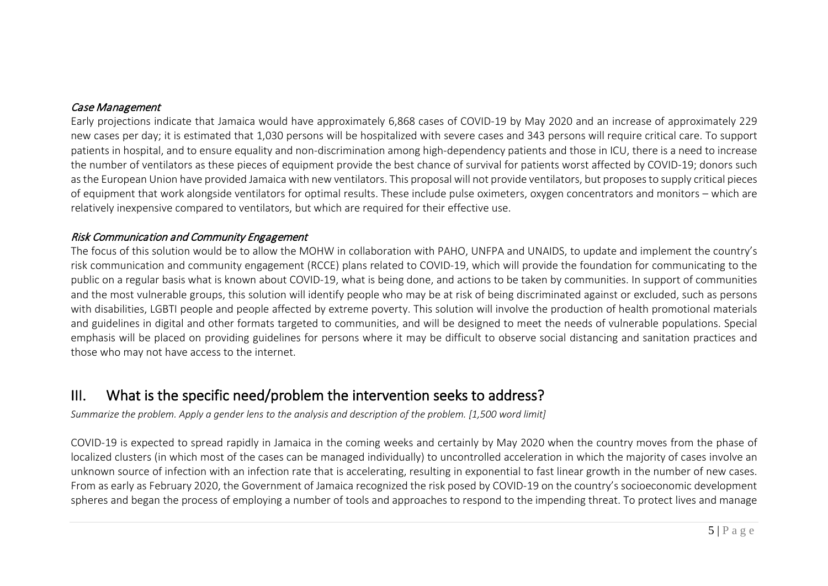#### Case Management

Early projections indicate that Jamaica would have approximately 6,868 cases of COVID-19 by May 2020 and an increase of approximately 229 new cases per day; it is estimated that 1,030 persons will be hospitalized with severe cases and 343 persons will require critical care. To support patients in hospital, and to ensure equality and non-discrimination among high-dependency patients and those in ICU, there is a need to increase the number of ventilators as these pieces of equipment provide the best chance of survival for patients worst affected by COVID-19; donors such as the European Union have provided Jamaica with new ventilators. This proposal will not provide ventilators, but proposes to supply critical pieces of equipment that work alongside ventilators for optimal results. These include pulse oximeters, oxygen concentrators and monitors – which are relatively inexpensive compared to ventilators, but which are required for their effective use.

#### Risk Communication and Community Engagement

The focus of this solution would be to allow the MOHW in collaboration with PAHO, UNFPA and UNAIDS, to update and implement the country's risk communication and community engagement (RCCE) plans related to COVID-19, which will provide the foundation for communicating to the public on a regular basis what is known about COVID-19, what is being done, and actions to be taken by communities. In support of communities and the most vulnerable groups, this solution will identify people who may be at risk of being discriminated against or excluded, such as persons with disabilities, LGBTI people and people affected by extreme poverty. This solution will involve the production of health promotional materials and guidelines in digital and other formats targeted to communities, and will be designed to meet the needs of vulnerable populations. Special emphasis will be placed on providing guidelines for persons where it may be difficult to observe social distancing and sanitation practices and those who may not have access to the internet.

# III. What is the specific need/problem the intervention seeks to address?

*Summarize the problem. Apply [a gender lens](https://www.unwomen.org/en/news/stories/2020/3/news-checklist-for-covid-19-response-by-ded-regner) to the analysis and description of the problem. [1,500 word limit]*

COVID-19 is expected to spread rapidly in Jamaica in the coming weeks and certainly by May 2020 when the country moves from the phase of localized clusters (in which most of the cases can be managed individually) to uncontrolled acceleration in which the majority of cases involve an unknown source of infection with an infection rate that is accelerating, resulting in exponential to fast linear growth in the number of new cases. From as early as February 2020, the Government of Jamaica recognized the risk posed by COVID-19 on the country's socioeconomic development spheres and began the process of employing a number of tools and approaches to respond to the impending threat. To protect lives and manage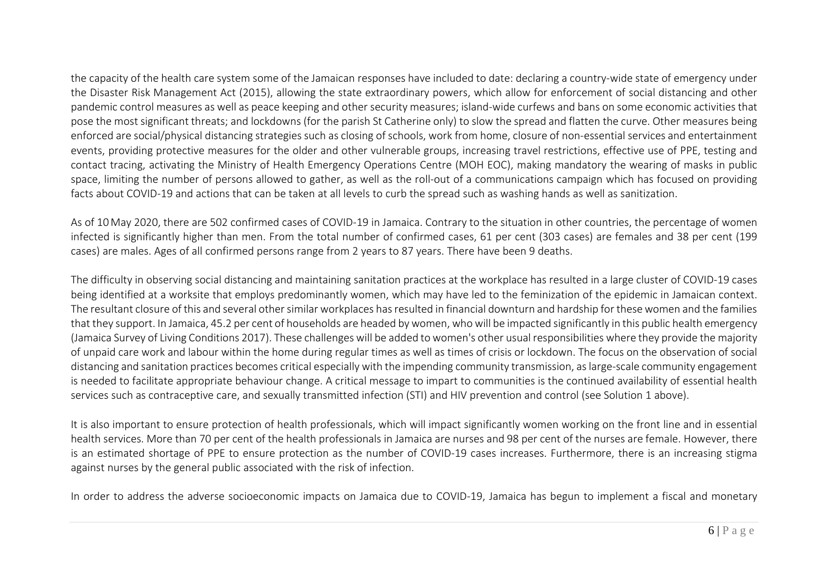the capacity of the health care system some of the Jamaican responses have included to date: declaring a country-wide state of emergency under the Disaster Risk Management Act (2015), allowing the state extraordinary powers, which allow for enforcement of social distancing and other pandemic control measures as well as peace keeping and other security measures; island-wide curfews and bans on some economic activities that pose the most significant threats; and lockdowns (for the parish St Catherine only) to slow the spread and flatten the curve. Other measures being enforced are social/physical distancing strategies such as closing of schools, work from home, closure of non-essential services and entertainment events, providing protective measures for the older and other vulnerable groups, increasing travel restrictions, effective use of PPE, testing and contact tracing, activating the Ministry of Health Emergency Operations Centre (MOH EOC), making mandatory the wearing of masks in public space, limiting the number of persons allowed to gather, as well as the roll-out of a communications campaign which has focused on providing facts about COVID-19 and actions that can be taken at all levels to curb the spread such as washing hands as well as sanitization.

As of 10May 2020, there are 502 confirmed cases of COVID-19 in Jamaica. Contrary to the situation in other countries, the percentage of women infected is significantly higher than men. From the total number of confirmed cases, 61 per cent (303 cases) are females and 38 per cent (199 cases) are males. Ages of all confirmed persons range from 2 years to 87 years. There have been 9 deaths.

The difficulty in observing social distancing and maintaining sanitation practices at the workplace has resulted in a large cluster of COVID-19 cases being identified at a worksite that employs predominantly women, which may have led to the feminization of the epidemic in Jamaican context. The resultant closure of this and several other similar workplaces has resulted in financial downturn and hardship for these women and the families that they support. In Jamaica, 45.2 per cent of households are headed by women, who will be impacted significantly in this public health emergency (Jamaica Survey of Living Conditions 2017). These challenges will be added to women's other usual responsibilities where they provide the majority of unpaid care work and labour within the home during regular times as well as times of crisis or lockdown. The focus on the observation of social distancing and sanitation practices becomes critical especially with the impending community transmission, as large-scale community engagement is needed to facilitate appropriate behaviour change. A critical message to impart to communities is the continued availability of essential health services such as contraceptive care, and sexually transmitted infection (STI) and HIV prevention and control (see Solution 1 above).

It is also important to ensure protection of health professionals, which will impact significantly women working on the front line and in essential health services. More than 70 per cent of the health professionals in Jamaica are nurses and 98 per cent of the nurses are female. However, there is an estimated shortage of PPE to ensure protection as the number of COVID-19 cases increases. Furthermore, there is an increasing stigma against nurses by the general public associated with the risk of infection.

In order to address the adverse socioeconomic impacts on Jamaica due to COVID-19, Jamaica has begun to implement a fiscal and monetary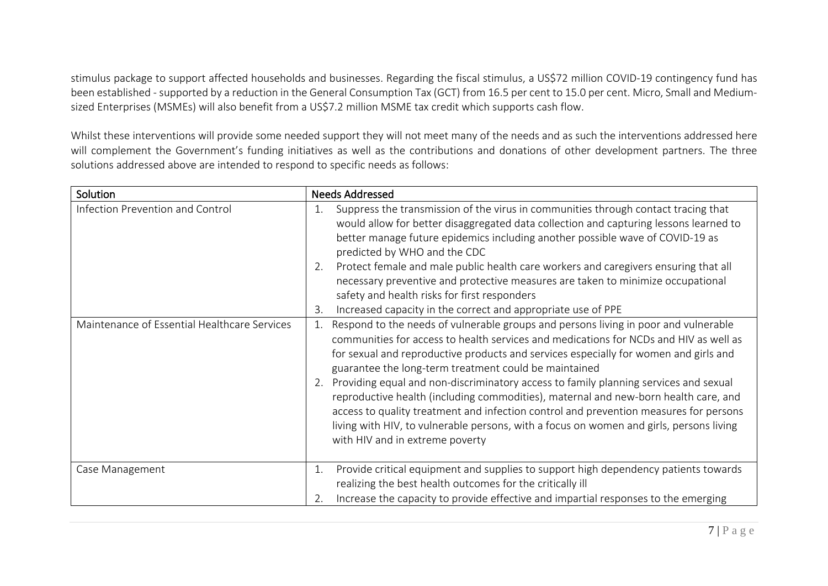stimulus package to support affected households and businesses. Regarding the fiscal stimulus, a US\$72 million COVID-19 contingency fund has been established - supported by a reduction in the General Consumption Tax (GCT) from 16.5 per cent to 15.0 per cent. Micro, Small and Mediumsized Enterprises (MSMEs) will also benefit from a US\$7.2 million MSME tax credit which supports cash flow.

Whilst these interventions will provide some needed support they will not meet many of the needs and as such the interventions addressed here will complement the Government's funding initiatives as well as the contributions and donations of other development partners. The three solutions addressed above are intended to respond to specific needs as follows:

| Solution                                     | <b>Needs Addressed</b>                                                                                                                                                                                                                                                                                                                                                                                                                                                                                                                                                                                                                                                                                                                    |
|----------------------------------------------|-------------------------------------------------------------------------------------------------------------------------------------------------------------------------------------------------------------------------------------------------------------------------------------------------------------------------------------------------------------------------------------------------------------------------------------------------------------------------------------------------------------------------------------------------------------------------------------------------------------------------------------------------------------------------------------------------------------------------------------------|
| Infection Prevention and Control             | Suppress the transmission of the virus in communities through contact tracing that<br>1.<br>would allow for better disaggregated data collection and capturing lessons learned to<br>better manage future epidemics including another possible wave of COVID-19 as<br>predicted by WHO and the CDC<br>Protect female and male public health care workers and caregivers ensuring that all<br>2.<br>necessary preventive and protective measures are taken to minimize occupational<br>safety and health risks for first responders                                                                                                                                                                                                        |
|                                              | Increased capacity in the correct and appropriate use of PPE<br>3.                                                                                                                                                                                                                                                                                                                                                                                                                                                                                                                                                                                                                                                                        |
| Maintenance of Essential Healthcare Services | Respond to the needs of vulnerable groups and persons living in poor and vulnerable<br>1.<br>communities for access to health services and medications for NCDs and HIV as well as<br>for sexual and reproductive products and services especially for women and girls and<br>guarantee the long-term treatment could be maintained<br>Providing equal and non-discriminatory access to family planning services and sexual<br>reproductive health (including commodities), maternal and new-born health care, and<br>access to quality treatment and infection control and prevention measures for persons<br>living with HIV, to vulnerable persons, with a focus on women and girls, persons living<br>with HIV and in extreme poverty |
| Case Management                              | Provide critical equipment and supplies to support high dependency patients towards<br>1.<br>realizing the best health outcomes for the critically ill<br>Increase the capacity to provide effective and impartial responses to the emerging<br>2.                                                                                                                                                                                                                                                                                                                                                                                                                                                                                        |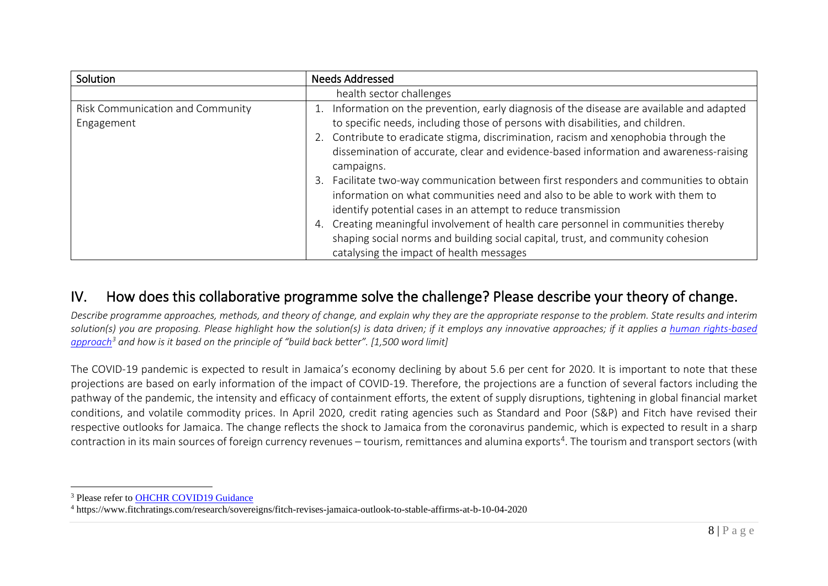<span id="page-7-1"></span><span id="page-7-0"></span>

| Solution                                       | <b>Needs Addressed</b>                                                                                                                                                                                                                                                                                                                                  |
|------------------------------------------------|---------------------------------------------------------------------------------------------------------------------------------------------------------------------------------------------------------------------------------------------------------------------------------------------------------------------------------------------------------|
|                                                | health sector challenges                                                                                                                                                                                                                                                                                                                                |
| Risk Communication and Community<br>Engagement | Information on the prevention, early diagnosis of the disease are available and adapted<br>to specific needs, including those of persons with disabilities, and children.<br>Contribute to eradicate stigma, discrimination, racism and xenophobia through the<br>dissemination of accurate, clear and evidence-based information and awareness-raising |
|                                                | campaigns.<br>Facilitate two-way communication between first responders and communities to obtain<br>3.<br>information on what communities need and also to be able to work with them to<br>identify potential cases in an attempt to reduce transmission                                                                                               |
|                                                | Creating meaningful involvement of health care personnel in communities thereby<br>4.<br>shaping social norms and building social capital, trust, and community cohesion<br>catalysing the impact of health messages                                                                                                                                    |

### IV. How does this collaborative programme solve the challenge? Please describe your theory of change.

*Describe programme approaches, methods, and theory of change, and explain why they are the appropriate response to the problem. State results and interim solution(s) you are proposing. Please highlight how the solution(s) is data driven; if it employs any innovative approaches; if it applies a [human rights-based](https://www.ohchr.org/EN/NewsEvents/Pages/COVID19Guidance.aspx)  [approach](https://www.ohchr.org/EN/NewsEvents/Pages/COVID19Guidance.aspx)[3](#page-7-0) and how is it based on the principle of "build back better". [1,500 word limit]*

The COVID-19 pandemic is expected to result in Jamaica's economy declining by about 5.6 per cent for 2020. It is important to note that these projections are based on early information of the impact of COVID-19. Therefore, the projections are a function of several factors including the pathway of the pandemic, the intensity and efficacy of containment efforts, the extent of supply disruptions, tightening in global financial market conditions, and volatile commodity prices. In April 2020, credit rating agencies such as Standard and Poor (S&P) and Fitch have revised their respective outlooks for Jamaica. The change reflects the shock to Jamaica from the coronavirus pandemic, which is expected to result in a sharp contraction in its main sources of foreign currency revenues – tourism, remittances and alumina exports<sup>[4](#page-7-1)</sup>. The tourism and transport sectors (with

<sup>&</sup>lt;sup>3</sup> Please refer to [OHCHR COVID19 Guidance](https://www.ohchr.org/EN/NewsEvents/Pages/COVID19Guidance.aspx)

<sup>4</sup> https://www.fitchratings.com/research/sovereigns/fitch-revises-jamaica-outlook-to-stable-affirms-at-b-10-04-2020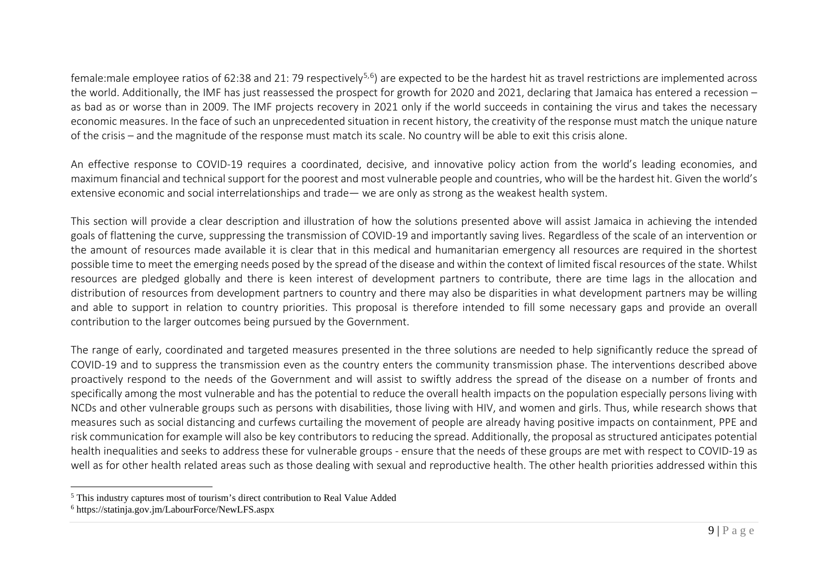<span id="page-8-1"></span><span id="page-8-0"></span>female:male employee ratios of 62:38 and 21: 79 respectively<sup>[5,](#page-8-0)[6](#page-8-1)</sup>) are expected to be the hardest hit as travel restrictions are implemented across the world. Additionally, the IMF has just reassessed the prospect for growth for 2020 and 2021, declaring that Jamaica has entered a recession – as bad as or worse than in 2009. The IMF projects recovery in 2021 only if the world succeeds in containing the virus and takes the necessary economic measures. In the face of such an unprecedented situation in recent history, the creativity of the response must match the unique nature of the crisis – and the magnitude of the response must match its scale. No country will be able to exit this crisis alone.

An effective response to COVID-19 requires a coordinated, decisive, and innovative policy action from the world's leading economies, and maximum financial and technical support for the poorest and most vulnerable people and countries, who will be the hardest hit. Given the world's extensive economic and social interrelationships and trade— we are only as strong as the weakest health system.

This section will provide a clear description and illustration of how the solutions presented above will assist Jamaica in achieving the intended goals of flattening the curve, suppressing the transmission of COVID-19 and importantly saving lives. Regardless of the scale of an intervention or the amount of resources made available it is clear that in this medical and humanitarian emergency all resources are required in the shortest possible time to meet the emerging needs posed by the spread of the disease and within the context of limited fiscal resources of the state. Whilst resources are pledged globally and there is keen interest of development partners to contribute, there are time lags in the allocation and distribution of resources from development partners to country and there may also be disparities in what development partners may be willing and able to support in relation to country priorities. This proposal is therefore intended to fill some necessary gaps and provide an overall contribution to the larger outcomes being pursued by the Government.

The range of early, coordinated and targeted measures presented in the three solutions are needed to help significantly reduce the spread of COVID-19 and to suppress the transmission even as the country enters the community transmission phase. The interventions described above proactively respond to the needs of the Government and will assist to swiftly address the spread of the disease on a number of fronts and specifically among the most vulnerable and has the potential to reduce the overall health impacts on the population especially persons living with NCDs and other vulnerable groups such as persons with disabilities, those living with HIV, and women and girls. Thus, while research shows that measures such as social distancing and curfews curtailing the movement of people are already having positive impacts on containment, PPE and risk communication for example will also be key contributors to reducing the spread. Additionally, the proposal as structured anticipates potential health inequalities and seeks to address these for vulnerable groups - ensure that the needs of these groups are met with respect to COVID-19 as well as for other health related areas such as those dealing with sexual and reproductive health. The other health priorities addressed within this

<sup>5</sup> This industry captures most of tourism's direct contribution to Real Value Added

<sup>6</sup> https://statinja.gov.jm/LabourForce/NewLFS.aspx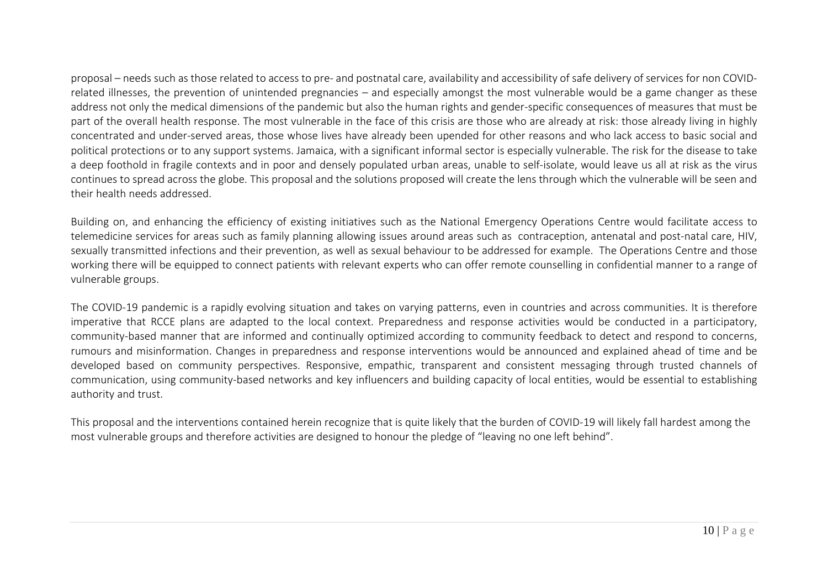proposal – needs such as those related to access to pre- and postnatal care, availability and accessibility of safe delivery of services for non COVIDrelated illnesses, the prevention of unintended pregnancies – and especially amongst the most vulnerable would be a game changer as these address not only the medical dimensions of the pandemic but also the human rights and gender-specific consequences of measures that must be part of the overall health response. The most vulnerable in the face of this crisis are those who are already at risk: those already living in highly concentrated and under-served areas, those whose lives have already been upended for other reasons and who lack access to basic social and political protections or to any support systems. Jamaica, with a significant informal sector is especially vulnerable. The risk for the disease to take a deep foothold in fragile contexts and in poor and densely populated urban areas, unable to self-isolate, would leave us all at risk as the virus continues to spread across the globe. This proposal and the solutions proposed will create the lens through which the vulnerable will be seen and their health needs addressed.

Building on, and enhancing the efficiency of existing initiatives such as the National Emergency Operations Centre would facilitate access to telemedicine services for areas such as family planning allowing issues around areas such as contraception, antenatal and post-natal care, HIV, sexually transmitted infections and their prevention, as well as sexual behaviour to be addressed for example. The Operations Centre and those working there will be equipped to connect patients with relevant experts who can offer remote counselling in confidential manner to a range of vulnerable groups.

The COVID-19 pandemic is a rapidly evolving situation and takes on varying patterns, even in countries and across communities. It is therefore imperative that RCCE plans are adapted to the local context. Preparedness and response activities would be conducted in a participatory, community-based manner that are informed and continually optimized according to community feedback to detect and respond to concerns, rumours and misinformation. Changes in preparedness and response interventions would be announced and explained ahead of time and be developed based on community perspectives. Responsive, empathic, transparent and consistent messaging through trusted channels of communication, using community-based networks and key influencers and building capacity of local entities, would be essential to establishing authority and trust.

This proposal and the interventions contained herein recognize that is quite likely that the burden of COVID-19 will likely fall hardest among the most vulnerable groups and therefore activities are designed to honour the pledge of "leaving no one left behind".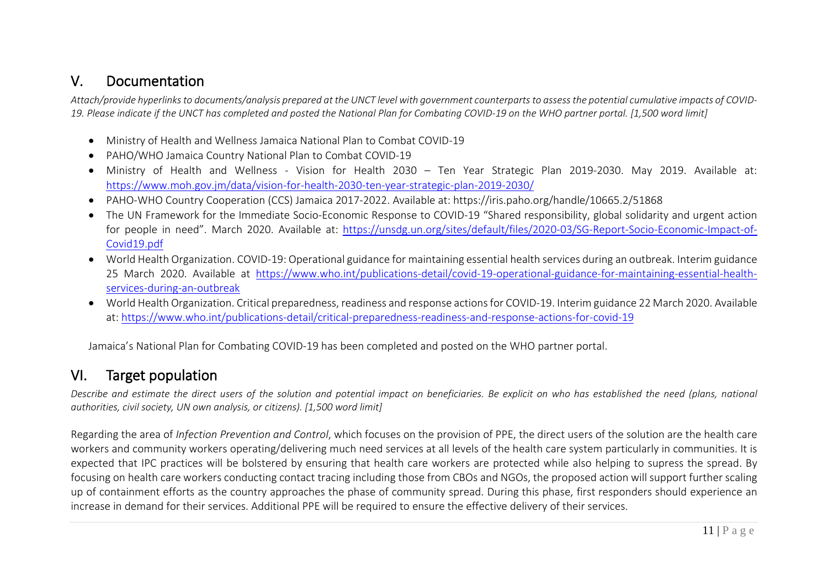### V. Documentation

*Attach/provide hyperlinks to documents/analysis prepared at the UNCT level with government counterparts to assess the potential cumulative impacts of COVID-19. Please indicate if the UNCT has completed and posted the National Plan for Combating COVID-19 on the WHO partner portal. [1,500 word limit]*

- Ministry of Health and Wellness Jamaica National Plan to Combat COVID-19
- PAHO/WHO Jamaica Country National Plan to Combat COVID-19
- Ministry of Health and Wellness Vision for Health 2030 Ten Year Strategic Plan 2019-2030. May 2019. Available at: <https://www.moh.gov.jm/data/vision-for-health-2030-ten-year-strategic-plan-2019-2030/>
- PAHO-WHO Country Cooperation (CCS) Jamaica 2017-2022. Available at: https://iris.paho.org/handle/10665.2/51868
- The UN Framework for the Immediate Socio-Economic Response to COVID-19 "Shared responsibility, global solidarity and urgent action for people in need". March 2020. Available at: [https://unsdg.un.org/sites/default/files/2020-03/SG-Report-Socio-Economic-Impact-of-](https://unsdg.un.org/sites/default/files/2020-03/SG-Report-Socio-Economic-Impact-of-Covid19.pdf)[Covid19.pdf](https://unsdg.un.org/sites/default/files/2020-03/SG-Report-Socio-Economic-Impact-of-Covid19.pdf)
- World Health Organization. COVID-19: Operational guidance for maintaining essential health services during an outbreak. Interim guidance 25 March 2020. Available at [https://www.who.int/publications-detail/covid-19-operational-guidance-for-maintaining-essential-health](https://www.who.int/publications-detail/covid-19-operational-guidance-for-maintaining-essential-health-services-during-an-outbreak)[services-during-an-outbreak](https://www.who.int/publications-detail/covid-19-operational-guidance-for-maintaining-essential-health-services-during-an-outbreak)
- World Health Organization. Critical preparedness, readiness and response actions for COVID-19. Interim guidance 22 March 2020. Available at:<https://www.who.int/publications-detail/critical-preparedness-readiness-and-response-actions-for-covid-19>

Jamaica's National Plan for Combating COVID-19 has been completed and posted on the WHO partner portal.

# VI. Target population

*Describe and estimate the direct users of the solution and potential impact on beneficiaries. Be explicit on who has established the need (plans, national authorities, civil society, UN own analysis, or citizens). [1,500 word limit]*

Regarding the area of *Infection Prevention and Control*, which focuses on the provision of PPE, the direct users of the solution are the health care workers and community workers operating/delivering much need services at all levels of the health care system particularly in communities. It is expected that IPC practices will be bolstered by ensuring that health care workers are protected while also helping to supress the spread. By focusing on health care workers conducting contact tracing including those from CBOs and NGOs, the proposed action will support further scaling up of containment efforts as the country approaches the phase of community spread. During this phase, first responders should experience an increase in demand for their services. Additional PPE will be required to ensure the effective delivery of their services.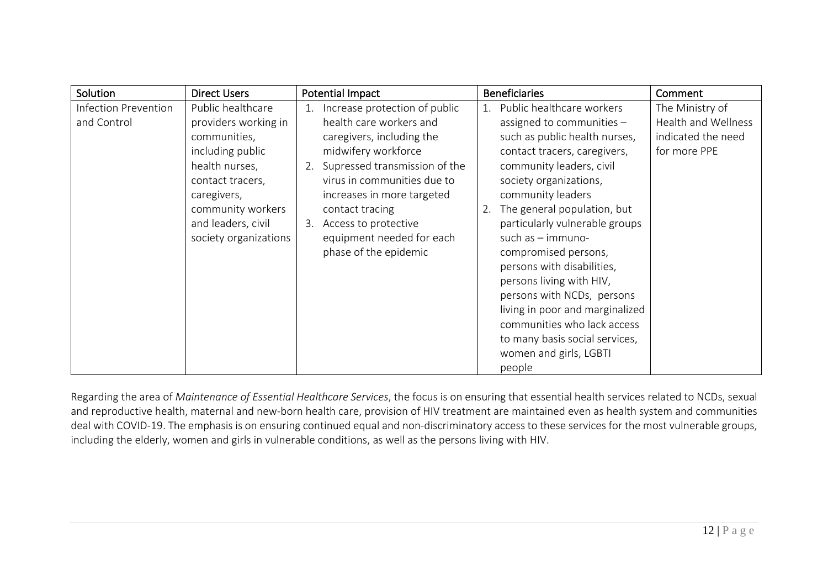| Solution<br><b>Direct Users</b>                                                                                                                                                                                                               | <b>Potential Impact</b>                                                                                                                                                                                                                                                                                              | <b>Beneficiaries</b>                                                                                                                                                                                                                                                                                                                                                                                                                                                                                                                            | Comment                                                                      |
|-----------------------------------------------------------------------------------------------------------------------------------------------------------------------------------------------------------------------------------------------|----------------------------------------------------------------------------------------------------------------------------------------------------------------------------------------------------------------------------------------------------------------------------------------------------------------------|-------------------------------------------------------------------------------------------------------------------------------------------------------------------------------------------------------------------------------------------------------------------------------------------------------------------------------------------------------------------------------------------------------------------------------------------------------------------------------------------------------------------------------------------------|------------------------------------------------------------------------------|
| Infection Prevention<br>Public healthcare<br>and Control<br>providers working in<br>communities,<br>including public<br>health nurses,<br>contact tracers,<br>caregivers,<br>community workers<br>and leaders, civil<br>society organizations | 1. Increase protection of public<br>health care workers and<br>caregivers, including the<br>midwifery workforce<br>2. Supressed transmission of the<br>virus in communities due to<br>increases in more targeted<br>contact tracing<br>3. Access to protective<br>equipment needed for each<br>phase of the epidemic | 1. Public healthcare workers<br>assigned to communities -<br>such as public health nurses,<br>contact tracers, caregivers,<br>community leaders, civil<br>society organizations,<br>community leaders<br>The general population, but<br>2.<br>particularly vulnerable groups<br>such as - immuno-<br>compromised persons,<br>persons with disabilities,<br>persons living with HIV,<br>persons with NCDs, persons<br>living in poor and marginalized<br>communities who lack access<br>to many basis social services,<br>women and girls, LGBTI | The Ministry of<br>Health and Wellness<br>indicated the need<br>for more PPE |

Regarding the area of *Maintenance of Essential Healthcare Services*, the focus is on ensuring that essential health services related to NCDs, sexual and reproductive health, maternal and new-born health care, provision of HIV treatment are maintained even as health system and communities deal with COVID-19. The emphasis is on ensuring continued equal and non-discriminatory access to these services for the most vulnerable groups, including the elderly, women and girls in vulnerable conditions, as well as the persons living with HIV.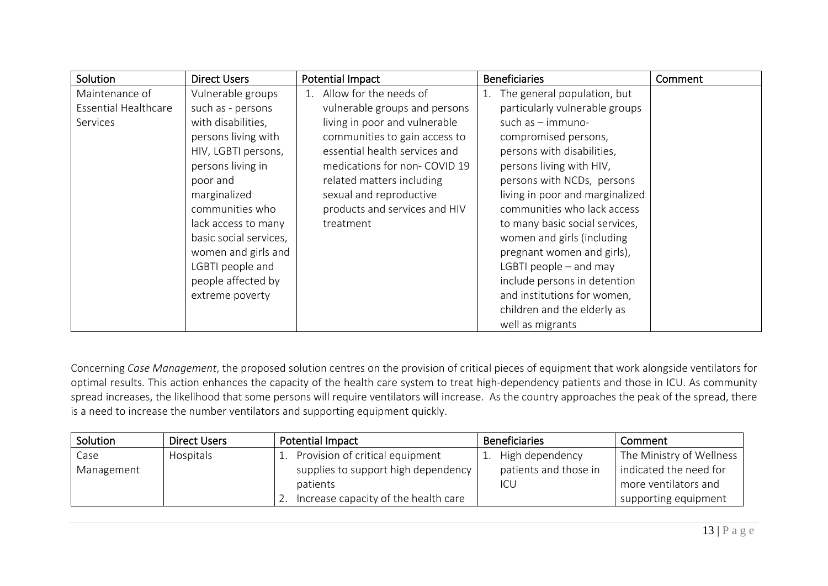| Solution                    | <b>Direct Users</b>    | <b>Potential Impact</b>       | <b>Beneficiaries</b>            | Comment |
|-----------------------------|------------------------|-------------------------------|---------------------------------|---------|
| Maintenance of              | Vulnerable groups      | 1. Allow for the needs of     | The general population, but     |         |
| <b>Essential Healthcare</b> | such as - persons      | vulnerable groups and persons | particularly vulnerable groups  |         |
| Services                    | with disabilities,     | living in poor and vulnerable | such as $-$ immuno-             |         |
|                             | persons living with    | communities to gain access to | compromised persons,            |         |
|                             | HIV, LGBTI persons,    | essential health services and | persons with disabilities,      |         |
|                             | persons living in      | medications for non- COVID 19 | persons living with HIV,        |         |
|                             | poor and               | related matters including     | persons with NCDs, persons      |         |
|                             | marginalized           | sexual and reproductive       | living in poor and marginalized |         |
|                             | communities who        | products and services and HIV | communities who lack access     |         |
|                             | lack access to many    | treatment                     | to many basic social services,  |         |
|                             | basic social services, |                               | women and girls (including      |         |
|                             | women and girls and    |                               | pregnant women and girls),      |         |
|                             | LGBTI people and       |                               | LGBTI people $-$ and may        |         |
|                             | people affected by     |                               | include persons in detention    |         |
|                             | extreme poverty        |                               | and institutions for women,     |         |
|                             |                        |                               | children and the elderly as     |         |
|                             |                        |                               | well as migrants                |         |

Concerning *Case Management*, the proposed solution centres on the provision of critical pieces of equipment that work alongside ventilators for optimal results. This action enhances the capacity of the health care system to treat high-dependency patients and those in ICU. As community spread increases, the likelihood that some persons will require ventilators will increase. As the country approaches the peak of the spread, there is a need to increase the number ventilators and supporting equipment quickly.

| Solution   | <b>Direct Users</b> | Potential Impact                     | <b>Beneficiaries</b>  | Comment                  |
|------------|---------------------|--------------------------------------|-----------------------|--------------------------|
| Case       | Hospitals           | 1. Provision of critical equipment   | High dependency       | The Ministry of Wellness |
| Management |                     | supplies to support high dependency  | patients and those in | indicated the need for   |
|            |                     | patients                             | ICU                   | more ventilators and     |
|            |                     | Increase capacity of the health care |                       | supporting equipment     |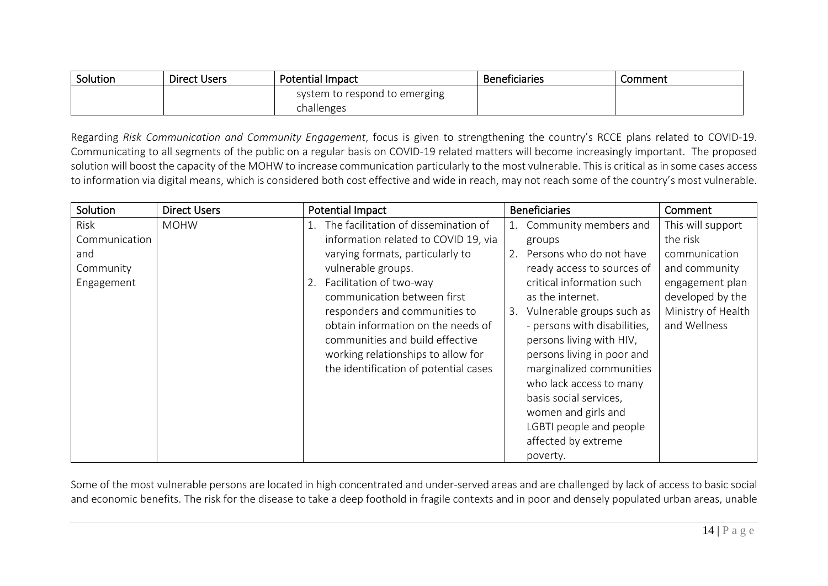| Solution | <b>Direct Users</b> | <b>Potential Impact</b>       | <b>Beneficiaries</b> | Comment |
|----------|---------------------|-------------------------------|----------------------|---------|
|          |                     | system to respond to emerging |                      |         |
|          |                     | challenges                    |                      |         |

Regarding *Risk Communication and Community Engagement*, focus is given to strengthening the country's RCCE plans related to COVID-19. Communicating to all segments of the public on a regular basis on COVID-19 related matters will become increasingly important. The proposed solution will boost the capacity of the MOHW to increase communication particularly to the most vulnerable. This is critical as in some cases access to information via digital means, which is considered both cost effective and wide in reach, may not reach some of the country's most vulnerable.

| Solution      | <b>Direct Users</b> | <b>Potential Impact</b>               | <b>Beneficiaries</b>            | Comment            |
|---------------|---------------------|---------------------------------------|---------------------------------|--------------------|
| Risk          | <b>MOHW</b>         | The facilitation of dissemination of  | Community members and           | This will support  |
| Communication |                     | information related to COVID 19, via  | groups                          | the risk           |
| and           |                     | varying formats, particularly to      | Persons who do not have<br>2.   | communication      |
| Community     |                     | vulnerable groups.                    | ready access to sources of      | and community      |
| Engagement    |                     | Facilitation of two-way<br>2.         | critical information such       | engagement plan    |
|               |                     | communication between first           | as the internet.                | developed by the   |
|               |                     | responders and communities to         | Vulnerable groups such as<br>3. | Ministry of Health |
|               |                     | obtain information on the needs of    | - persons with disabilities,    | and Wellness       |
|               |                     | communities and build effective       | persons living with HIV,        |                    |
|               |                     | working relationships to allow for    | persons living in poor and      |                    |
|               |                     | the identification of potential cases | marginalized communities        |                    |
|               |                     |                                       | who lack access to many         |                    |
|               |                     |                                       | basis social services,          |                    |
|               |                     |                                       | women and girls and             |                    |
|               |                     |                                       | LGBTI people and people         |                    |
|               |                     |                                       | affected by extreme             |                    |
|               |                     |                                       | poverty.                        |                    |

Some of the most vulnerable persons are located in high concentrated and under-served areas and are challenged by lack of access to basic social and economic benefits. The risk for the disease to take a deep foothold in fragile contexts and in poor and densely populated urban areas, unable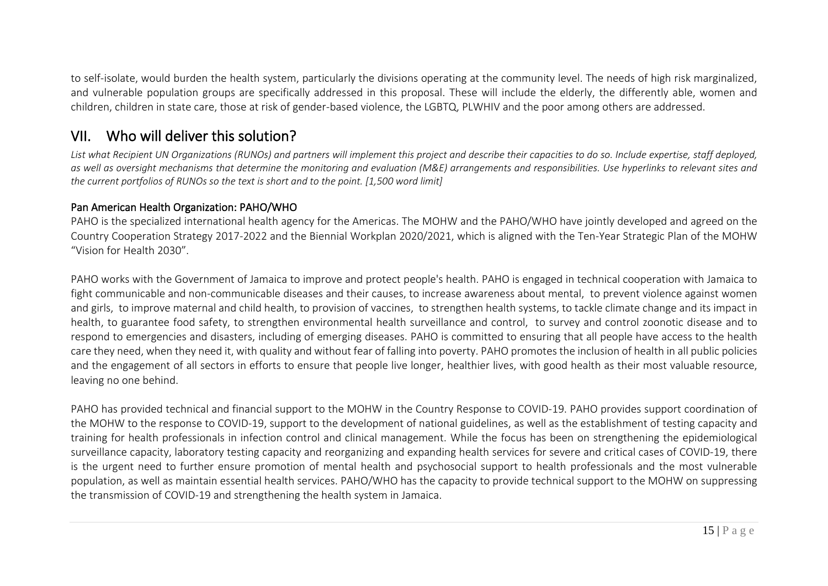to self-isolate, would burden the health system, particularly the divisions operating at the community level. The needs of high risk marginalized, and vulnerable population groups are specifically addressed in this proposal. These will include the elderly, the differently able, women and children, children in state care, those at risk of gender-based violence, the LGBTQ, PLWHIV and the poor among others are addressed.

### VII. Who will deliver this solution?

*List what Recipient UN Organizations (RUNOs) and partners will implement this project and describe their capacities to do so. Include expertise, staff deployed, as well as oversight mechanisms that determine the monitoring and evaluation (M&E) arrangements and responsibilities. Use hyperlinks to relevant sites and the current portfolios of RUNOs so the text is short and to the point. [1,500 word limit]*

#### Pan American Health Organization: PAHO/WHO

PAHO is the specialized international health agency for the Americas. The MOHW and the PAHO/WHO have jointly developed and agreed on the Country Cooperation Strategy 2017-2022 and the Biennial Workplan 2020/2021, which is aligned with the Ten-Year Strategic Plan of the MOHW "Vision for Health 2030".

PAHO works with the Government of Jamaica to improve and protect people's health. PAHO is engaged in technical cooperation with Jamaica to fight communicable and non-communicable diseases and their causes, to increase awareness about mental, to prevent violence against women and girls, to improve maternal and child health, to provision of vaccines, to strengthen health systems, to tackle climate change and its impact in health, to guarantee food safety, to strengthen environmental health surveillance and control, to survey and control zoonotic disease and to respond to emergencies and disasters, including of emerging diseases. PAHO is committed to ensuring that all people have access to the health care they need, when they need it, with quality and without fear of falling into poverty. PAHO promotes the inclusion of health in all public policies and the engagement of all sectors in efforts to ensure that people live longer, healthier lives, with good health as their most valuable resource, leaving no one behind.

PAHO has provided technical and financial support to the MOHW in the Country Response to COVID-19. PAHO provides support coordination of the MOHW to the response to COVID-19, support to the development of national guidelines, as well as the establishment of testing capacity and training for health professionals in infection control and clinical management. While the focus has been on strengthening the epidemiological surveillance capacity, laboratory testing capacity and reorganizing and expanding health services for severe and critical cases of COVID-19, there is the urgent need to further ensure promotion of mental health and psychosocial support to health professionals and the most vulnerable population, as well as maintain essential health services. PAHO/WHO has the capacity to provide technical support to the MOHW on suppressing the transmission of COVID-19 and strengthening the health system in Jamaica.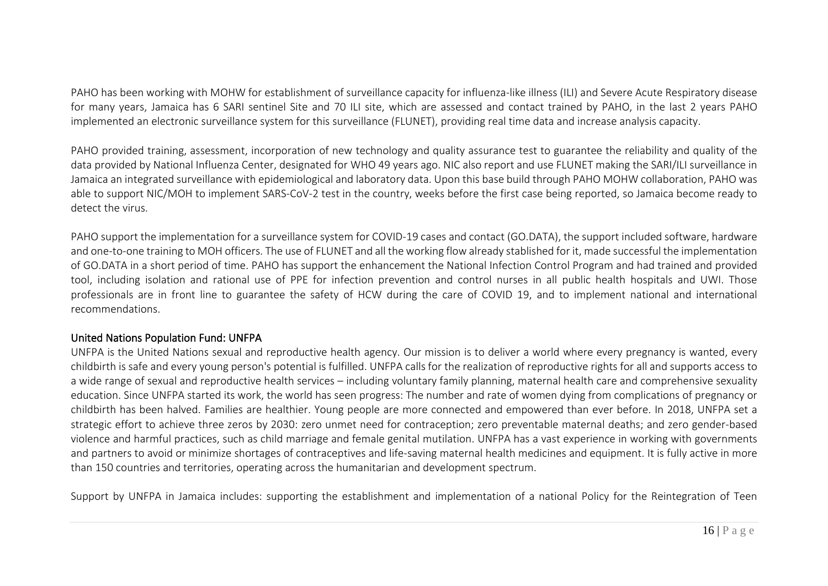PAHO has been working with MOHW for establishment of surveillance capacity for influenza-like illness (ILI) and Severe Acute Respiratory disease for many years, Jamaica has 6 SARI sentinel Site and 70 ILI site, which are assessed and contact trained by PAHO, in the last 2 years PAHO implemented an electronic surveillance system for this surveillance (FLUNET), providing real time data and increase analysis capacity.

PAHO provided training, assessment, incorporation of new technology and quality assurance test to guarantee the reliability and quality of the data provided by National Influenza Center, designated for WHO 49 years ago. NIC also report and use FLUNET making the SARI/ILI surveillance in Jamaica an integrated surveillance with epidemiological and laboratory data. Upon this base build through PAHO MOHW collaboration, PAHO was able to support NIC/MOH to implement SARS-CoV-2 test in the country, weeks before the first case being reported, so Jamaica become ready to detect the virus.

PAHO support the implementation for a surveillance system for COVID-19 cases and contact (GO.DATA), the support included software, hardware and one-to-one training to MOH officers. The use of FLUNET and all the working flow already stablished for it, made successful the implementation of GO.DATA in a short period of time. PAHO has support the enhancement the National Infection Control Program and had trained and provided tool, including isolation and rational use of PPE for infection prevention and control nurses in all public health hospitals and UWI. Those professionals are in front line to guarantee the safety of HCW during the care of COVID 19, and to implement national and international recommendations.

#### United Nations Population Fund: UNFPA

UNFPA is the United Nations sexual and reproductive health agency. Our mission is to deliver a world where every pregnancy is wanted, every childbirth is safe and every young person's potential is fulfilled. UNFPA calls for the realization of reproductive rights for all and supports access to a wide range of sexual and reproductive health services – including voluntary family planning, maternal health care and comprehensive sexuality education. Since UNFPA started its work, the world has seen progress: The number and rate of women dying from complications of pregnancy or childbirth has been halved. Families are healthier. Young people are more connected and empowered than ever before. In 2018, UNFPA set a strategic effort to achieve three zeros by 2030: zero unmet need for contraception; zero preventable maternal deaths; and zero gender-based violence and harmful practices, such as child marriage and female genital mutilation. UNFPA has a vast experience in working with governments and partners to avoid or minimize shortages of contraceptives and life-saving maternal health medicines and equipment. It is fully active in more than 150 countries and territories, operating across the humanitarian and development spectrum.

Support by UNFPA in Jamaica includes: supporting the establishment and implementation of a national Policy for the Reintegration of Teen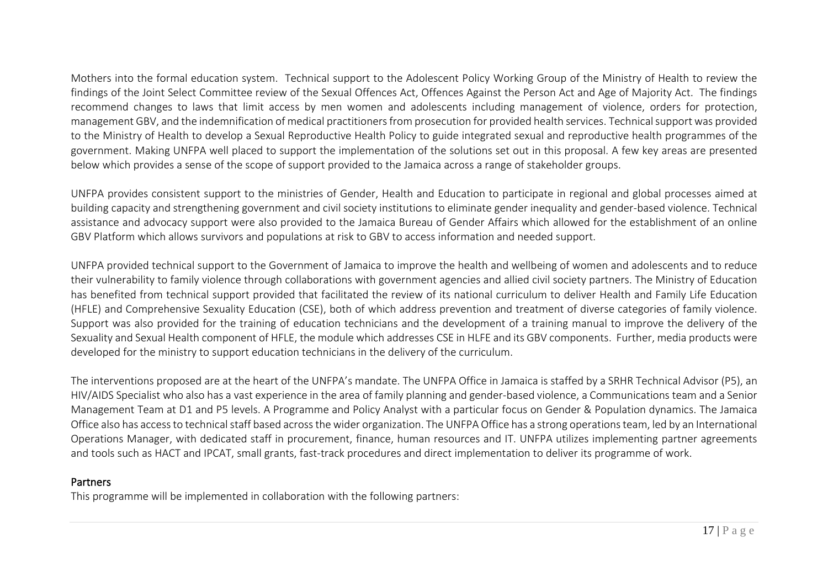Mothers into the formal education system. Technical support to the Adolescent Policy Working Group of the Ministry of Health to review the findings of the Joint Select Committee review of the Sexual Offences Act, Offences Against the Person Act and Age of Majority Act. The findings recommend changes to laws that limit access by men women and adolescents including management of violence, orders for protection, management GBV, and the indemnification of medical practitioners from prosecution for provided health services. Technical support was provided to the Ministry of Health to develop a Sexual Reproductive Health Policy to guide integrated sexual and reproductive health programmes of the government. Making UNFPA well placed to support the implementation of the solutions set out in this proposal. A few key areas are presented below which provides a sense of the scope of support provided to the Jamaica across a range of stakeholder groups.

UNFPA provides consistent support to the ministries of Gender, Health and Education to participate in regional and global processes aimed at building capacity and strengthening government and civil society institutions to eliminate gender inequality and gender-based violence. Technical assistance and advocacy support were also provided to the Jamaica Bureau of Gender Affairs which allowed for the establishment of an online GBV Platform which allows survivors and populations at risk to GBV to access information and needed support.

UNFPA provided technical support to the Government of Jamaica to improve the health and wellbeing of women and adolescents and to reduce their vulnerability to family violence through collaborations with government agencies and allied civil society partners. The Ministry of Education has benefited from technical support provided that facilitated the review of its national curriculum to deliver Health and Family Life Education (HFLE) and Comprehensive Sexuality Education (CSE), both of which address prevention and treatment of diverse categories of family violence. Support was also provided for the training of education technicians and the development of a training manual to improve the delivery of the Sexuality and Sexual Health component of HFLE, the module which addresses CSE in HLFE and its GBV components. Further, media products were developed for the ministry to support education technicians in the delivery of the curriculum.

The interventions proposed are at the heart of the UNFPA's mandate. The UNFPA Office in Jamaica is staffed by a SRHR Technical Advisor (P5), an HIV/AIDS Specialist who also has a vast experience in the area of family planning and gender-based violence, a Communications team and a Senior Management Team at D1 and P5 levels. A Programme and Policy Analyst with a particular focus on Gender & Population dynamics. The Jamaica Office also has access to technical staff based across the wider organization. The UNFPA Office has a strong operations team, led by an International Operations Manager, with dedicated staff in procurement, finance, human resources and IT. UNFPA utilizes implementing partner agreements and tools such as HACT and IPCAT, small grants, fast-track procedures and direct implementation to deliver its programme of work.

#### **Partners**

This programme will be implemented in collaboration with the following partners: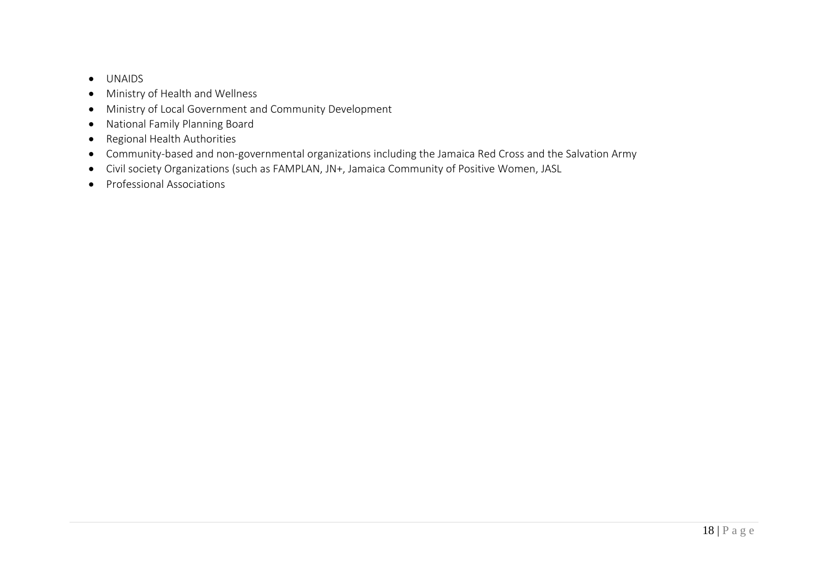- UNAIDS
- Ministry of Health and Wellness
- Ministry of Local Government and Community Development
- National Family Planning Board
- Regional Health Authorities
- Community-based and non-governmental organizations including the Jamaica Red Cross and the Salvation Army
- Civil society Organizations (such as FAMPLAN, JN+, Jamaica Community of Positive Women, JASL
- Professional Associations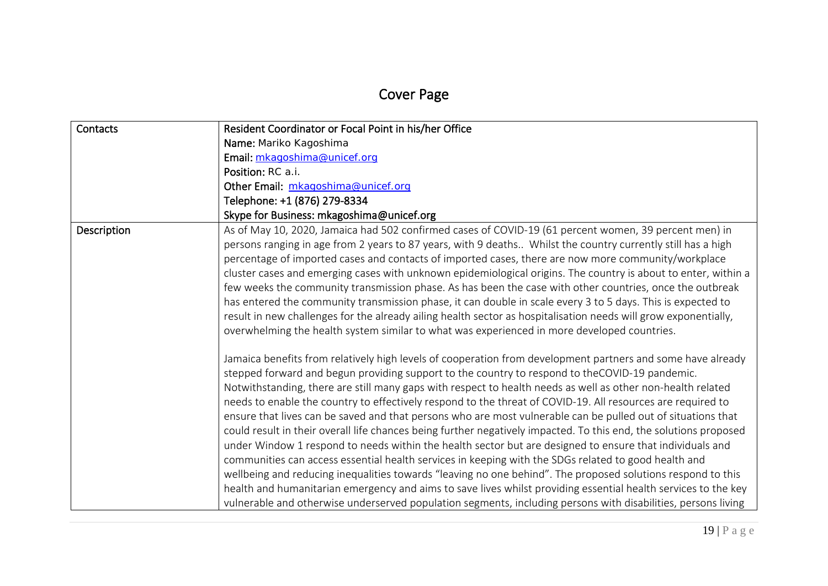# Cover Page

| Contacts    | Resident Coordinator or Focal Point in his/her Office                                                                                                                                                                                                                                                                                                                                                                                                                                                                                                                                                                                                                                                                                                                                                                                                                                                                                                                                                                                                                                                                                                                                                                                                  |
|-------------|--------------------------------------------------------------------------------------------------------------------------------------------------------------------------------------------------------------------------------------------------------------------------------------------------------------------------------------------------------------------------------------------------------------------------------------------------------------------------------------------------------------------------------------------------------------------------------------------------------------------------------------------------------------------------------------------------------------------------------------------------------------------------------------------------------------------------------------------------------------------------------------------------------------------------------------------------------------------------------------------------------------------------------------------------------------------------------------------------------------------------------------------------------------------------------------------------------------------------------------------------------|
|             | Name: Mariko Kagoshima                                                                                                                                                                                                                                                                                                                                                                                                                                                                                                                                                                                                                                                                                                                                                                                                                                                                                                                                                                                                                                                                                                                                                                                                                                 |
|             | Email: mkagoshima@unicef.org                                                                                                                                                                                                                                                                                                                                                                                                                                                                                                                                                                                                                                                                                                                                                                                                                                                                                                                                                                                                                                                                                                                                                                                                                           |
|             | Position: RC a.i.                                                                                                                                                                                                                                                                                                                                                                                                                                                                                                                                                                                                                                                                                                                                                                                                                                                                                                                                                                                                                                                                                                                                                                                                                                      |
|             | Other Email: mkagoshima@unicef.org                                                                                                                                                                                                                                                                                                                                                                                                                                                                                                                                                                                                                                                                                                                                                                                                                                                                                                                                                                                                                                                                                                                                                                                                                     |
|             | Telephone: +1 (876) 279-8334                                                                                                                                                                                                                                                                                                                                                                                                                                                                                                                                                                                                                                                                                                                                                                                                                                                                                                                                                                                                                                                                                                                                                                                                                           |
|             | Skype for Business: mkagoshima@unicef.org                                                                                                                                                                                                                                                                                                                                                                                                                                                                                                                                                                                                                                                                                                                                                                                                                                                                                                                                                                                                                                                                                                                                                                                                              |
| Description | As of May 10, 2020, Jamaica had 502 confirmed cases of COVID-19 (61 percent women, 39 percent men) in<br>persons ranging in age from 2 years to 87 years, with 9 deaths Whilst the country currently still has a high<br>percentage of imported cases and contacts of imported cases, there are now more community/workplace<br>cluster cases and emerging cases with unknown epidemiological origins. The country is about to enter, within a<br>few weeks the community transmission phase. As has been the case with other countries, once the outbreak<br>has entered the community transmission phase, it can double in scale every 3 to 5 days. This is expected to<br>result in new challenges for the already ailing health sector as hospitalisation needs will grow exponentially,<br>overwhelming the health system similar to what was experienced in more developed countries.                                                                                                                                                                                                                                                                                                                                                            |
|             | Jamaica benefits from relatively high levels of cooperation from development partners and some have already<br>stepped forward and begun providing support to the country to respond to theCOVID-19 pandemic.<br>Notwithstanding, there are still many gaps with respect to health needs as well as other non-health related<br>needs to enable the country to effectively respond to the threat of COVID-19. All resources are required to<br>ensure that lives can be saved and that persons who are most vulnerable can be pulled out of situations that<br>could result in their overall life chances being further negatively impacted. To this end, the solutions proposed<br>under Window 1 respond to needs within the health sector but are designed to ensure that individuals and<br>communities can access essential health services in keeping with the SDGs related to good health and<br>wellbeing and reducing inequalities towards "leaving no one behind". The proposed solutions respond to this<br>health and humanitarian emergency and aims to save lives whilst providing essential health services to the key<br>vulnerable and otherwise underserved population segments, including persons with disabilities, persons living |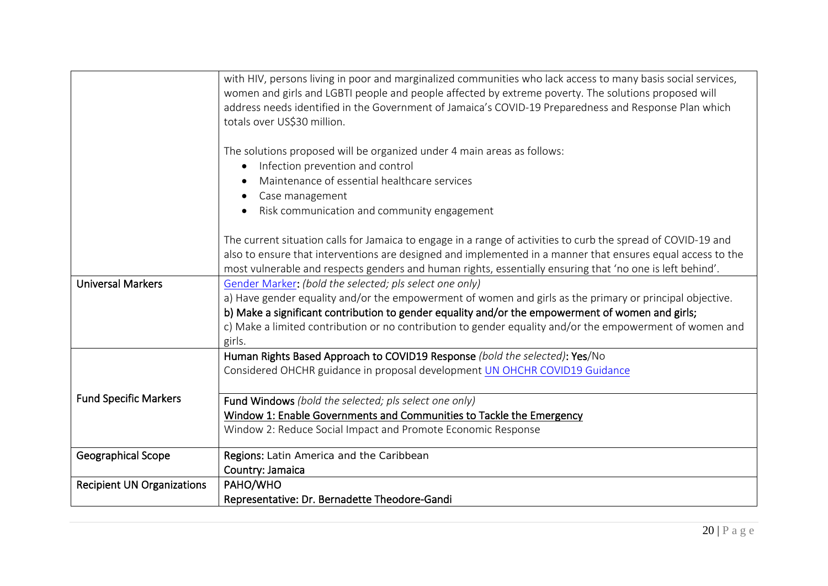|                                   | with HIV, persons living in poor and marginalized communities who lack access to many basis social services,<br>women and girls and LGBTI people and people affected by extreme poverty. The solutions proposed will<br>address needs identified in the Government of Jamaica's COVID-19 Preparedness and Response Plan which<br>totals over US\$30 million. |
|-----------------------------------|--------------------------------------------------------------------------------------------------------------------------------------------------------------------------------------------------------------------------------------------------------------------------------------------------------------------------------------------------------------|
|                                   | The solutions proposed will be organized under 4 main areas as follows:                                                                                                                                                                                                                                                                                      |
|                                   | Infection prevention and control<br>$\bullet$<br>Maintenance of essential healthcare services                                                                                                                                                                                                                                                                |
|                                   | Case management                                                                                                                                                                                                                                                                                                                                              |
|                                   | Risk communication and community engagement                                                                                                                                                                                                                                                                                                                  |
|                                   | The current situation calls for Jamaica to engage in a range of activities to curb the spread of COVID-19 and<br>also to ensure that interventions are designed and implemented in a manner that ensures equal access to the<br>most vulnerable and respects genders and human rights, essentially ensuring that 'no one is left behind'.                    |
| <b>Universal Markers</b>          | Gender Marker: (bold the selected; pls select one only)                                                                                                                                                                                                                                                                                                      |
|                                   | a) Have gender equality and/or the empowerment of women and girls as the primary or principal objective.                                                                                                                                                                                                                                                     |
|                                   | b) Make a significant contribution to gender equality and/or the empowerment of women and girls;<br>c) Make a limited contribution or no contribution to gender equality and/or the empowerment of women and                                                                                                                                                 |
|                                   | girls.                                                                                                                                                                                                                                                                                                                                                       |
|                                   | Human Rights Based Approach to COVID19 Response (bold the selected): Yes/No                                                                                                                                                                                                                                                                                  |
|                                   | Considered OHCHR guidance in proposal development UN OHCHR COVID19 Guidance                                                                                                                                                                                                                                                                                  |
| <b>Fund Specific Markers</b>      | Fund Windows (bold the selected; pls select one only)                                                                                                                                                                                                                                                                                                        |
|                                   | Window 1: Enable Governments and Communities to Tackle the Emergency                                                                                                                                                                                                                                                                                         |
|                                   | Window 2: Reduce Social Impact and Promote Economic Response                                                                                                                                                                                                                                                                                                 |
| Geographical Scope                | Regions: Latin America and the Caribbean                                                                                                                                                                                                                                                                                                                     |
|                                   | Country: Jamaica                                                                                                                                                                                                                                                                                                                                             |
| <b>Recipient UN Organizations</b> | PAHO/WHO                                                                                                                                                                                                                                                                                                                                                     |
|                                   | Representative: Dr. Bernadette Theodore-Gandi                                                                                                                                                                                                                                                                                                                |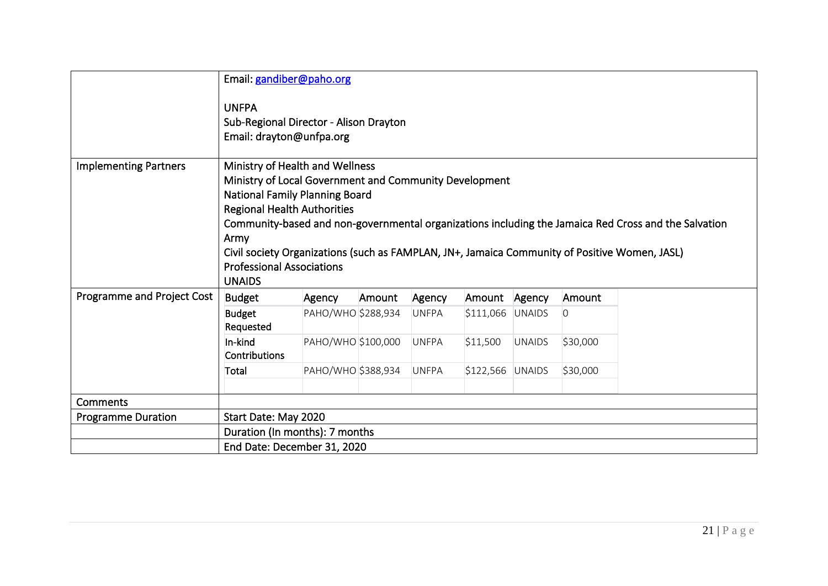|                              |                                                                                                                                                                                                                                                                                                                                                                                                                                         | Email: gandiber@paho.org |        |              |                   |               |                |  |
|------------------------------|-----------------------------------------------------------------------------------------------------------------------------------------------------------------------------------------------------------------------------------------------------------------------------------------------------------------------------------------------------------------------------------------------------------------------------------------|--------------------------|--------|--------------|-------------------|---------------|----------------|--|
|                              | <b>UNFPA</b><br>Sub-Regional Director - Alison Drayton<br>Email: drayton@unfpa.org                                                                                                                                                                                                                                                                                                                                                      |                          |        |              |                   |               |                |  |
| <b>Implementing Partners</b> | Ministry of Health and Wellness<br>Ministry of Local Government and Community Development<br>National Family Planning Board<br><b>Regional Health Authorities</b><br>Community-based and non-governmental organizations including the Jamaica Red Cross and the Salvation<br>Army<br>Civil society Organizations (such as FAMPLAN, JN+, Jamaica Community of Positive Women, JASL)<br><b>Professional Associations</b><br><b>UNAIDS</b> |                          |        |              |                   |               |                |  |
| Programme and Project Cost   | <b>Budget</b>                                                                                                                                                                                                                                                                                                                                                                                                                           | Agency                   | Amount | Agency       | Amount            | Agency        | Amount         |  |
|                              | <b>Budget</b><br>Requested                                                                                                                                                                                                                                                                                                                                                                                                              | PAHO/WHO \$288,934       |        | UNFPA        | $$111,066$ UNAIDS |               | $\overline{0}$ |  |
|                              | In-kind<br><b>Contributions</b>                                                                                                                                                                                                                                                                                                                                                                                                         | PAHO/WHO \$100,000       |        | <b>UNFPA</b> | \$11,500          | <b>UNAIDS</b> | \$30,000       |  |
|                              | Total                                                                                                                                                                                                                                                                                                                                                                                                                                   | PAHO/WHO \$388,934       |        | <b>UNFPA</b> | \$122,566 UNAIDS  |               | \$30,000       |  |
| Comments                     |                                                                                                                                                                                                                                                                                                                                                                                                                                         |                          |        |              |                   |               |                |  |
| <b>Programme Duration</b>    | Start Date: May 2020                                                                                                                                                                                                                                                                                                                                                                                                                    |                          |        |              |                   |               |                |  |
|                              | Duration (In months): 7 months                                                                                                                                                                                                                                                                                                                                                                                                          |                          |        |              |                   |               |                |  |
|                              | End Date: December 31, 2020                                                                                                                                                                                                                                                                                                                                                                                                             |                          |        |              |                   |               |                |  |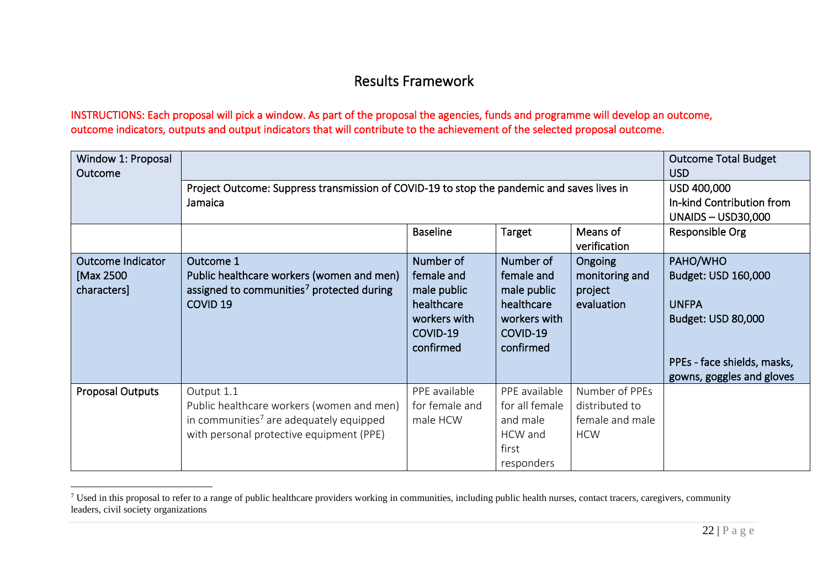### <span id="page-21-0"></span>Results Framework

### INSTRUCTIONS: Each proposal will pick a window. As part of the proposal the agencies, funds and programme will develop an outcome, outcome indicators, outputs and output indicators that will contribute to the achievement of the selected proposal outcome.

| Window 1: Proposal<br>Outcome                         |                                                                                                                                                            | <b>Outcome Total Budget</b><br><b>USD</b>                                                     |                                                                                               |                                                                   |                                                                                                                                   |  |  |
|-------------------------------------------------------|------------------------------------------------------------------------------------------------------------------------------------------------------------|-----------------------------------------------------------------------------------------------|-----------------------------------------------------------------------------------------------|-------------------------------------------------------------------|-----------------------------------------------------------------------------------------------------------------------------------|--|--|
|                                                       | Project Outcome: Suppress transmission of COVID-19 to stop the pandemic and saves lives in<br>Jamaica                                                      | USD 400,000<br>In-kind Contribution from<br>UNAIDS $-$ USD30,000                              |                                                                                               |                                                                   |                                                                                                                                   |  |  |
|                                                       |                                                                                                                                                            | <b>Baseline</b><br>Target<br>Means of<br>Responsible Org<br>verification                      |                                                                                               |                                                                   |                                                                                                                                   |  |  |
| <b>Outcome Indicator</b><br>[Max 2500]<br>characters] | Outcome 1<br>Public healthcare workers (women and men)<br>assigned to communities <sup>7</sup> protected during<br>COVID <sub>19</sub>                     | Number of<br>female and<br>male public<br>healthcare<br>workers with<br>COVID-19<br>confirmed | Number of<br>female and<br>male public<br>healthcare<br>workers with<br>COVID-19<br>confirmed | Ongoing<br>monitoring and<br>project<br>evaluation                | PAHO/WHO<br>Budget: USD 160,000<br><b>UNFPA</b><br>Budget: USD 80,000<br>PPEs - face shields, masks,<br>gowns, goggles and gloves |  |  |
| <b>Proposal Outputs</b>                               | Output 1.1<br>Public healthcare workers (women and men)<br>in communities <sup>7</sup> are adequately equipped<br>with personal protective equipment (PPE) | PPE available<br>for female and<br>male HCW                                                   | PPE available<br>for all female<br>and male<br>HCW and<br>first<br>responders                 | Number of PPEs<br>distributed to<br>female and male<br><b>HCW</b> |                                                                                                                                   |  |  |

<sup>&</sup>lt;sup>7</sup> Used in this proposal to refer to a range of public healthcare providers working in communities, including public health nurses, contact tracers, caregivers, community leaders, civil society organizations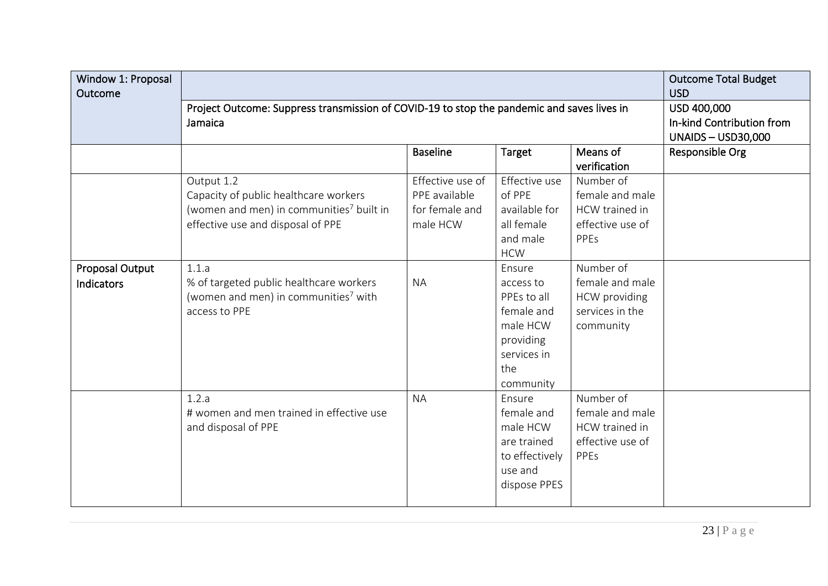| Window 1: Proposal<br>Outcome        |                                                                                                                                                  | <b>Outcome Total Budget</b><br><b>USD</b>                                |                                                                                                              |                                                                               |  |  |  |
|--------------------------------------|--------------------------------------------------------------------------------------------------------------------------------------------------|--------------------------------------------------------------------------|--------------------------------------------------------------------------------------------------------------|-------------------------------------------------------------------------------|--|--|--|
|                                      | Project Outcome: Suppress transmission of COVID-19 to stop the pandemic and saves lives in<br>Jamaica                                            | USD 400,000<br>In-kind Contribution from<br><b>UNAIDS-USD30,000</b>      |                                                                                                              |                                                                               |  |  |  |
|                                      |                                                                                                                                                  | <b>Baseline</b><br>Means of<br>Target<br>Responsible Org<br>verification |                                                                                                              |                                                                               |  |  |  |
|                                      | Output 1.2<br>Capacity of public healthcare workers<br>(women and men) in communities <sup>7</sup> built in<br>effective use and disposal of PPE | Effective use of<br>PPE available<br>for female and<br>male HCW          | Effective use<br>of PPE<br>available for<br>all female<br>and male<br><b>HCW</b>                             | Number of<br>female and male<br>HCW trained in<br>effective use of<br>PPEs    |  |  |  |
| <b>Proposal Output</b><br>Indicators | 1.1.a<br>% of targeted public healthcare workers<br>(women and men) in communities <sup>7</sup> with<br>access to PPE                            | <b>NA</b>                                                                | Ensure<br>access to<br>PPEs to all<br>female and<br>male HCW<br>providing<br>services in<br>the<br>community | Number of<br>female and male<br>HCW providing<br>services in the<br>community |  |  |  |
|                                      | 1.2.a<br># women and men trained in effective use<br>and disposal of PPE                                                                         | <b>NA</b>                                                                | Ensure<br>female and<br>male HCW<br>are trained<br>to effectively<br>use and<br>dispose PPES                 | Number of<br>female and male<br>HCW trained in<br>effective use of<br>PPEs    |  |  |  |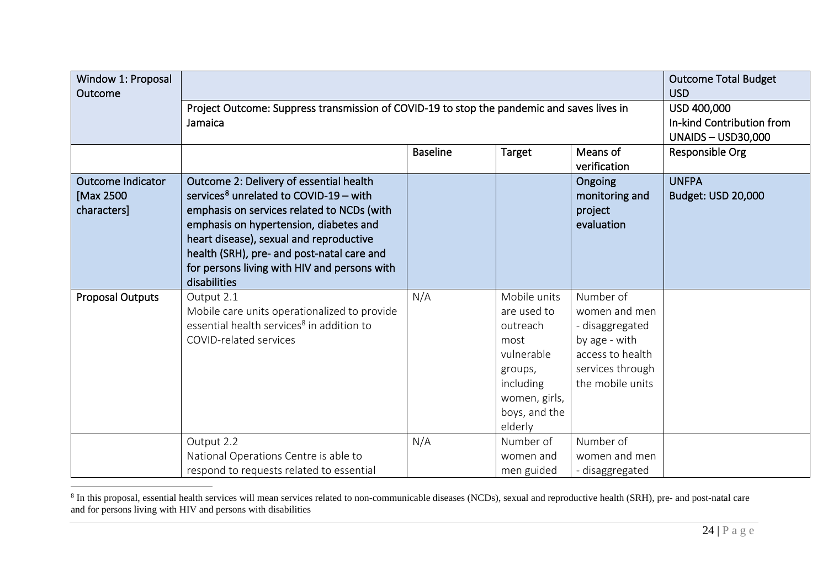<span id="page-23-0"></span>

| Window 1: Proposal<br>Outcome                        |                                                                                                                                                                                                                                                                                                                                                | <b>Outcome Total Budget</b><br><b>USD</b>                             |                                                                                                                                    |                                                                                                                            |                                    |
|------------------------------------------------------|------------------------------------------------------------------------------------------------------------------------------------------------------------------------------------------------------------------------------------------------------------------------------------------------------------------------------------------------|-----------------------------------------------------------------------|------------------------------------------------------------------------------------------------------------------------------------|----------------------------------------------------------------------------------------------------------------------------|------------------------------------|
|                                                      | Project Outcome: Suppress transmission of COVID-19 to stop the pandemic and saves lives in<br>Jamaica                                                                                                                                                                                                                                          | USD 400,000<br>In-kind Contribution from<br><b>UNAIDS - USD30,000</b> |                                                                                                                                    |                                                                                                                            |                                    |
|                                                      |                                                                                                                                                                                                                                                                                                                                                | <b>Baseline</b>                                                       | Target                                                                                                                             | Means of<br>verification                                                                                                   | Responsible Org                    |
| <b>Outcome Indicator</b><br>[Max 2500<br>characters] | Outcome 2: Delivery of essential health<br>services <sup>8</sup> unrelated to COVID-19 - with<br>emphasis on services related to NCDs (with<br>emphasis on hypertension, diabetes and<br>heart disease), sexual and reproductive<br>health (SRH), pre- and post-natal care and<br>for persons living with HIV and persons with<br>disabilities |                                                                       |                                                                                                                                    | Ongoing<br>monitoring and<br>project<br>evaluation                                                                         | <b>UNFPA</b><br>Budget: USD 20,000 |
| Proposal Outputs                                     | Output 2.1<br>Mobile care units operationalized to provide<br>essential health services <sup>8</sup> in addition to<br>COVID-related services                                                                                                                                                                                                  | N/A                                                                   | Mobile units<br>are used to<br>outreach<br>most<br>vulnerable<br>groups,<br>including<br>women, girls,<br>boys, and the<br>elderly | Number of<br>women and men<br>- disaggregated<br>by age - with<br>access to health<br>services through<br>the mobile units |                                    |
|                                                      | Output 2.2<br>National Operations Centre is able to<br>respond to requests related to essential                                                                                                                                                                                                                                                | N/A                                                                   | Number of<br>women and<br>men guided                                                                                               | Number of<br>women and men<br>- disaggregated                                                                              |                                    |

<sup>&</sup>lt;sup>8</sup> In this proposal, essential health services will mean services related to non-communicable diseases (NCDs), sexual and reproductive health (SRH), pre- and post-natal care and for persons living with HIV and persons with disabilities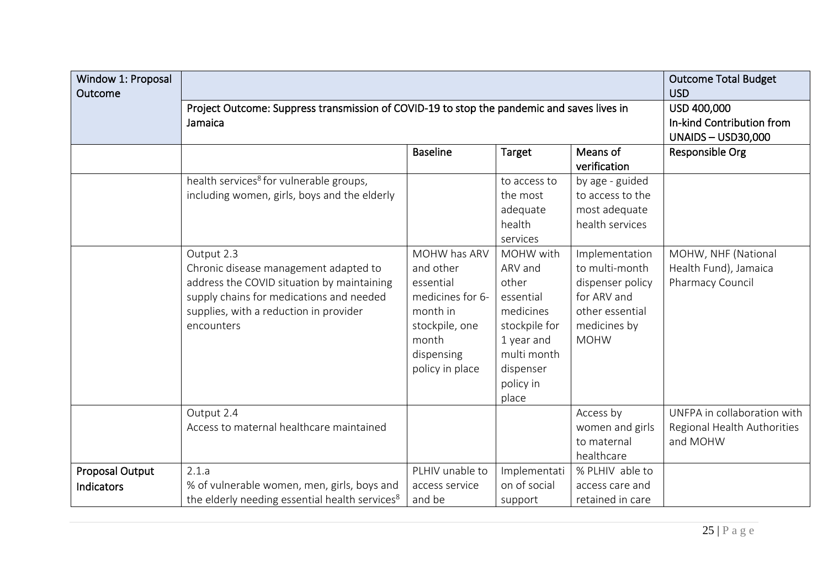| Window 1: Proposal<br>Outcome |                                                                                                                                                                                                       |                                                                                                                                    |                                                                                                                                          |                                                                                                                       | <b>Outcome Total Budget</b><br><b>USD</b>                              |
|-------------------------------|-------------------------------------------------------------------------------------------------------------------------------------------------------------------------------------------------------|------------------------------------------------------------------------------------------------------------------------------------|------------------------------------------------------------------------------------------------------------------------------------------|-----------------------------------------------------------------------------------------------------------------------|------------------------------------------------------------------------|
|                               | Project Outcome: Suppress transmission of COVID-19 to stop the pandemic and saves lives in<br>Jamaica                                                                                                 | USD 400,000<br>In-kind Contribution from<br><b>UNAIDS-USD30,000</b>                                                                |                                                                                                                                          |                                                                                                                       |                                                                        |
|                               |                                                                                                                                                                                                       | <b>Baseline</b>                                                                                                                    | Target                                                                                                                                   | Means of<br>verification                                                                                              | Responsible Org                                                        |
|                               | health services <sup>8</sup> for vulnerable groups,<br>including women, girls, boys and the elderly                                                                                                   |                                                                                                                                    | to access to<br>the most<br>adequate<br>health<br>services                                                                               | by age - guided<br>to access to the<br>most adequate<br>health services                                               |                                                                        |
|                               | Output 2.3<br>Chronic disease management adapted to<br>address the COVID situation by maintaining<br>supply chains for medications and needed<br>supplies, with a reduction in provider<br>encounters | MOHW has ARV<br>and other<br>essential<br>medicines for 6-<br>month in<br>stockpile, one<br>month<br>dispensing<br>policy in place | MOHW with<br>ARV and<br>other<br>essential<br>medicines<br>stockpile for<br>1 year and<br>multi month<br>dispenser<br>policy in<br>place | Implementation<br>to multi-month<br>dispenser policy<br>for ARV and<br>other essential<br>medicines by<br><b>MOHW</b> | MOHW, NHF (National<br>Health Fund), Jamaica<br>Pharmacy Council       |
|                               | Output 2.4<br>Access to maternal healthcare maintained                                                                                                                                                |                                                                                                                                    |                                                                                                                                          | Access by<br>women and girls<br>to maternal<br>healthcare                                                             | UNFPA in collaboration with<br>Regional Health Authorities<br>and MOHW |
| Proposal Output<br>Indicators | 2.1.a<br>% of vulnerable women, men, girls, boys and<br>the elderly needing essential health services <sup>8</sup>                                                                                    | PLHIV unable to<br>access service<br>and be                                                                                        | Implementati<br>on of social<br>support                                                                                                  | % PLHIV able to<br>access care and<br>retained in care                                                                |                                                                        |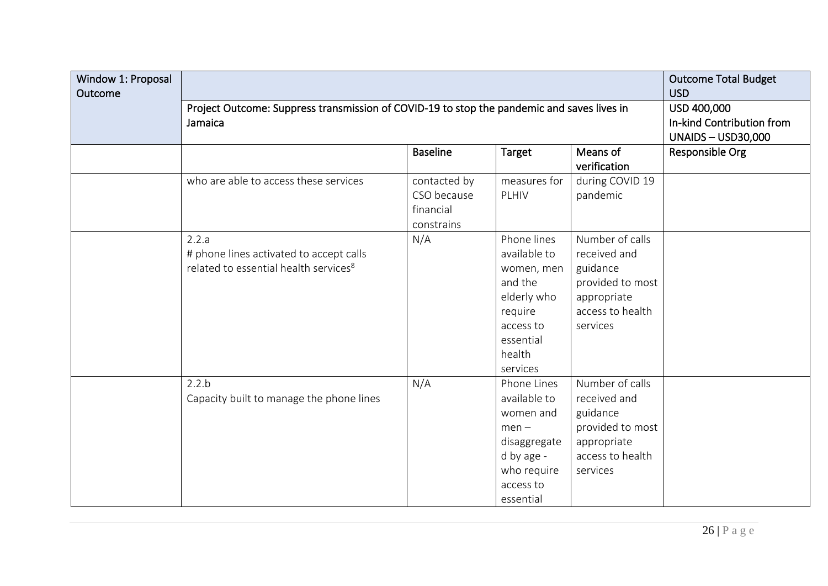| Window 1: Proposal<br>Outcome |                                                                                                       | <b>Outcome Total Budget</b><br><b>USD</b>                           |                                                                                                                                |                                                                                                                |                 |
|-------------------------------|-------------------------------------------------------------------------------------------------------|---------------------------------------------------------------------|--------------------------------------------------------------------------------------------------------------------------------|----------------------------------------------------------------------------------------------------------------|-----------------|
|                               | Project Outcome: Suppress transmission of COVID-19 to stop the pandemic and saves lives in<br>Jamaica | USD 400,000<br>In-kind Contribution from<br><b>UNAIDS-USD30,000</b> |                                                                                                                                |                                                                                                                |                 |
|                               |                                                                                                       | <b>Baseline</b>                                                     | Target                                                                                                                         | Means of<br>verification                                                                                       | Responsible Org |
|                               | who are able to access these services                                                                 | contacted by<br>CSO because<br>financial<br>constrains              | measures for<br>PLHIV                                                                                                          | during COVID 19<br>pandemic                                                                                    |                 |
|                               | 2.2.a<br># phone lines activated to accept calls<br>related to essential health services <sup>8</sup> | N/A                                                                 | Phone lines<br>available to<br>women, men<br>and the<br>elderly who<br>require<br>access to<br>essential<br>health<br>services | Number of calls<br>received and<br>guidance<br>provided to most<br>appropriate<br>access to health<br>services |                 |
|                               | 2.2.b<br>Capacity built to manage the phone lines                                                     | N/A                                                                 | Phone Lines<br>available to<br>women and<br>$men -$<br>disaggregate<br>d by age -<br>who require<br>access to<br>essential     | Number of calls<br>received and<br>guidance<br>provided to most<br>appropriate<br>access to health<br>services |                 |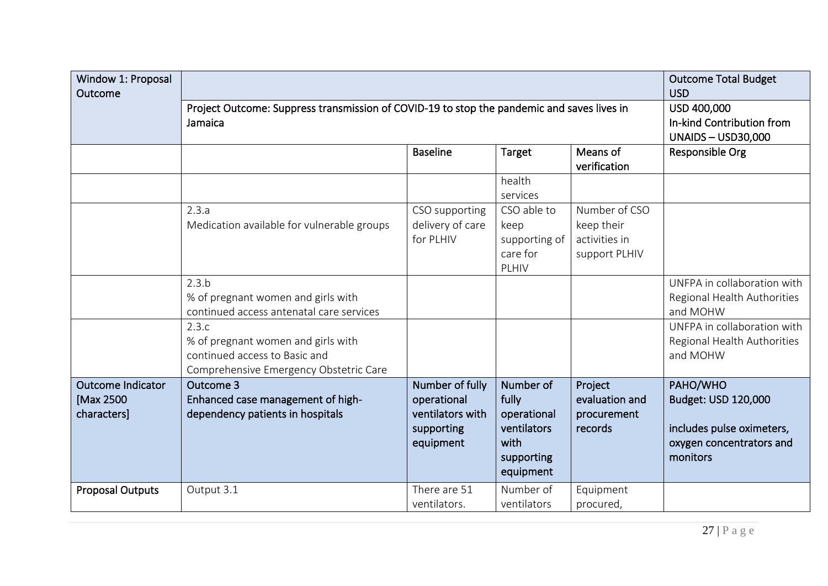| Window 1: Proposal<br>Outcome                        |                                                                                                                                                                                                                   |                                                                               |                                                                                     |                                                               | <b>Outcome Total Budget</b><br><b>USD</b>                                                                                                        |
|------------------------------------------------------|-------------------------------------------------------------------------------------------------------------------------------------------------------------------------------------------------------------------|-------------------------------------------------------------------------------|-------------------------------------------------------------------------------------|---------------------------------------------------------------|--------------------------------------------------------------------------------------------------------------------------------------------------|
|                                                      | Project Outcome: Suppress transmission of COVID-19 to stop the pandemic and saves lives in<br>Jamaica                                                                                                             |                                                                               | USD 400,000<br>In-kind Contribution from<br><b>UNAIDS - USD30,000</b>               |                                                               |                                                                                                                                                  |
|                                                      |                                                                                                                                                                                                                   | Responsible Org                                                               |                                                                                     |                                                               |                                                                                                                                                  |
|                                                      |                                                                                                                                                                                                                   |                                                                               | health<br>services                                                                  |                                                               |                                                                                                                                                  |
|                                                      | 2.3.a<br>Medication available for vulnerable groups                                                                                                                                                               | CSO supporting<br>delivery of care<br>for PLHIV                               | CSO able to<br>keep<br>supporting of<br>care for<br>PLHIV                           | Number of CSO<br>keep their<br>activities in<br>support PLHIV |                                                                                                                                                  |
|                                                      | 2.3.b<br>% of pregnant women and girls with<br>continued access antenatal care services<br>2.3.c<br>% of pregnant women and girls with<br>continued access to Basic and<br>Comprehensive Emergency Obstetric Care |                                                                               |                                                                                     |                                                               | UNFPA in collaboration with<br>Regional Health Authorities<br>and MOHW<br>UNFPA in collaboration with<br>Regional Health Authorities<br>and MOHW |
| <b>Outcome Indicator</b><br>[Max 2500<br>characters] | Outcome 3<br>Enhanced case management of high-<br>dependency patients in hospitals                                                                                                                                | Number of fully<br>operational<br>ventilators with<br>supporting<br>equipment | Number of<br>fully<br>operational<br>ventilators<br>with<br>supporting<br>equipment | Project<br>evaluation and<br>procurement<br>records           | PAHO/WHO<br>Budget: USD 120,000<br>includes pulse oximeters,<br>oxygen concentrators and<br>monitors                                             |
| <b>Proposal Outputs</b>                              | Output 3.1                                                                                                                                                                                                        | There are 51<br>ventilators.                                                  | Number of<br>ventilators                                                            | Equipment<br>procured,                                        |                                                                                                                                                  |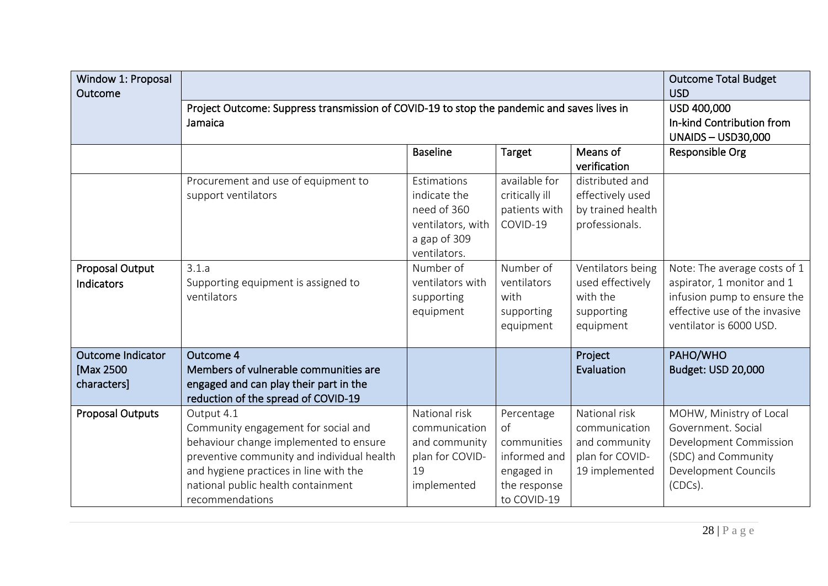| Window 1: Proposal<br>Outcome                        |                                                                                                                                                                                                                                              | <b>Outcome Total Budget</b><br><b>USD</b>                                                       |                                                                                              |                                                                                      |                                                                                                                                                       |
|------------------------------------------------------|----------------------------------------------------------------------------------------------------------------------------------------------------------------------------------------------------------------------------------------------|-------------------------------------------------------------------------------------------------|----------------------------------------------------------------------------------------------|--------------------------------------------------------------------------------------|-------------------------------------------------------------------------------------------------------------------------------------------------------|
|                                                      | Project Outcome: Suppress transmission of COVID-19 to stop the pandemic and saves lives in<br>Jamaica                                                                                                                                        | USD 400,000<br>In-kind Contribution from<br><b>UNAIDS-USD30,000</b>                             |                                                                                              |                                                                                      |                                                                                                                                                       |
|                                                      |                                                                                                                                                                                                                                              | <b>Baseline</b>                                                                                 | Target                                                                                       | Means of<br>verification                                                             | Responsible Org                                                                                                                                       |
|                                                      | Procurement and use of equipment to<br>support ventilators                                                                                                                                                                                   | Estimations<br>indicate the<br>need of 360<br>ventilators, with<br>a gap of 309<br>ventilators. | available for<br>critically ill<br>patients with<br>COVID-19                                 | distributed and<br>effectively used<br>by trained health<br>professionals.           |                                                                                                                                                       |
| <b>Proposal Output</b><br>Indicators                 | 3.1.a<br>Supporting equipment is assigned to<br>ventilators                                                                                                                                                                                  | Number of<br>ventilators with<br>supporting<br>equipment                                        | Number of<br>ventilators<br>with<br>supporting<br>equipment                                  | Ventilators being<br>used effectively<br>with the<br>supporting<br>equipment         | Note: The average costs of 1<br>aspirator, 1 monitor and 1<br>infusion pump to ensure the<br>effective use of the invasive<br>ventilator is 6000 USD. |
| <b>Outcome Indicator</b><br>[Max 2500<br>characters] | Outcome 4<br>Members of vulnerable communities are<br>engaged and can play their part in the<br>reduction of the spread of COVID-19                                                                                                          |                                                                                                 |                                                                                              | Project<br>Evaluation                                                                | PAHO/WHO<br>Budget: USD 20,000                                                                                                                        |
| <b>Proposal Outputs</b>                              | Output 4.1<br>Community engagement for social and<br>behaviour change implemented to ensure<br>preventive community and individual health<br>and hygiene practices in line with the<br>national public health containment<br>recommendations | National risk<br>communication<br>and community<br>plan for COVID-<br>19<br>implemented         | Percentage<br>of<br>communities<br>informed and<br>engaged in<br>the response<br>to COVID-19 | National risk<br>communication<br>and community<br>plan for COVID-<br>19 implemented | MOHW, Ministry of Local<br>Government, Social<br>Development Commission<br>(SDC) and Community<br>Development Councils<br>(CDCs).                     |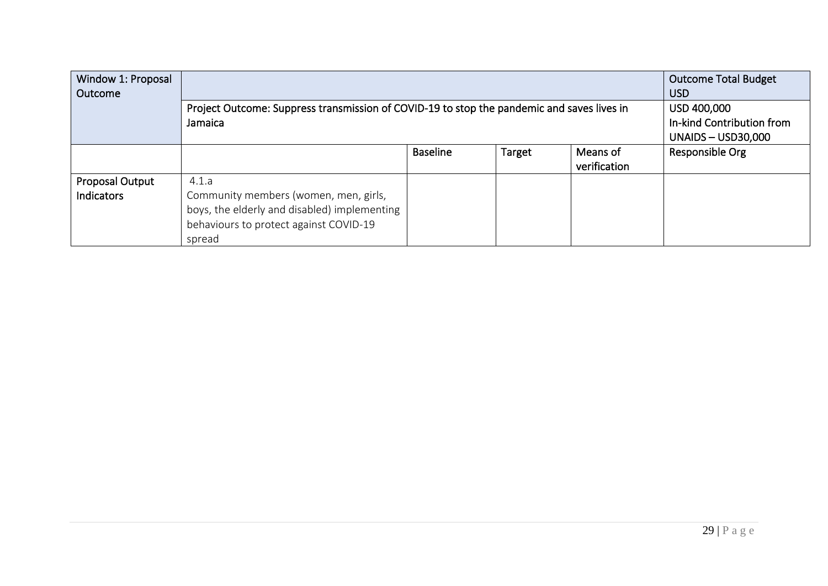| Window 1: Proposal<br>Outcome |                                                                                                                                           | <b>Outcome Total Budget</b><br><b>USD</b>                        |        |                          |                 |
|-------------------------------|-------------------------------------------------------------------------------------------------------------------------------------------|------------------------------------------------------------------|--------|--------------------------|-----------------|
|                               | Project Outcome: Suppress transmission of COVID-19 to stop the pandemic and saves lives in<br>Jamaica                                     | USD 400,000<br>In-kind Contribution from<br>UNAIDS $-$ USD30,000 |        |                          |                 |
|                               |                                                                                                                                           | <b>Baseline</b>                                                  | Target | Means of<br>verification | Responsible Org |
| Proposal Output               | 4.1.a                                                                                                                                     |                                                                  |        |                          |                 |
| Indicators                    | Community members (women, men, girls,<br>boys, the elderly and disabled) implementing<br>behaviours to protect against COVID-19<br>spread |                                                                  |        |                          |                 |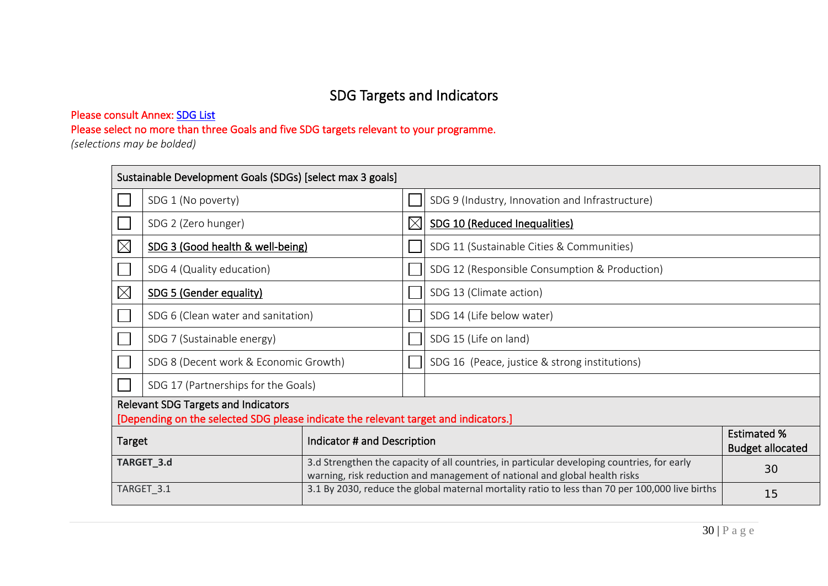# SDG Targets and Indicators

### Please consult Annex: SDG List

Please select no more than three Goals and five SDG targets relevant to your programme.

*(selections may be bolded)* 

|                                       | Sustainable Development Goals (SDGs) [select max 3 goals]                                                                         |  |             |                                                                                                                                                                           |                                               |  |  |  |
|---------------------------------------|-----------------------------------------------------------------------------------------------------------------------------------|--|-------------|---------------------------------------------------------------------------------------------------------------------------------------------------------------------------|-----------------------------------------------|--|--|--|
|                                       | SDG 1 (No poverty)                                                                                                                |  |             | SDG 9 (Industry, Innovation and Infrastructure)                                                                                                                           |                                               |  |  |  |
|                                       | SDG 2 (Zero hunger)                                                                                                               |  | $\boxtimes$ | SDG 10 (Reduced Inequalities)                                                                                                                                             |                                               |  |  |  |
| $\boxtimes$                           | SDG 3 (Good health & well-being)                                                                                                  |  |             | SDG 11 (Sustainable Cities & Communities)                                                                                                                                 |                                               |  |  |  |
|                                       | SDG 4 (Quality education)                                                                                                         |  |             | SDG 12 (Responsible Consumption & Production)                                                                                                                             |                                               |  |  |  |
| $\boxtimes$                           | SDG 5 (Gender equality)                                                                                                           |  |             | SDG 13 (Climate action)                                                                                                                                                   |                                               |  |  |  |
|                                       | SDG 6 (Clean water and sanitation)                                                                                                |  |             | SDG 14 (Life below water)                                                                                                                                                 |                                               |  |  |  |
|                                       | SDG 7 (Sustainable energy)                                                                                                        |  |             | SDG 15 (Life on land)                                                                                                                                                     |                                               |  |  |  |
|                                       | SDG 8 (Decent work & Economic Growth)                                                                                             |  |             | SDG 16 (Peace, justice & strong institutions)                                                                                                                             |                                               |  |  |  |
|                                       | SDG 17 (Partnerships for the Goals)                                                                                               |  |             |                                                                                                                                                                           |                                               |  |  |  |
|                                       | <b>Relevant SDG Targets and Indicators</b><br>[Depending on the selected SDG please indicate the relevant target and indicators.] |  |             |                                                                                                                                                                           |                                               |  |  |  |
| Indicator # and Description<br>Target |                                                                                                                                   |  |             |                                                                                                                                                                           | <b>Estimated %</b><br><b>Budget allocated</b> |  |  |  |
| TARGET_3.d                            |                                                                                                                                   |  |             | 3.d Strengthen the capacity of all countries, in particular developing countries, for early<br>warning, risk reduction and management of national and global health risks | 30                                            |  |  |  |
| TARGET_3.1                            |                                                                                                                                   |  |             | 3.1 By 2030, reduce the global maternal mortality ratio to less than 70 per 100,000 live births<br>15                                                                     |                                               |  |  |  |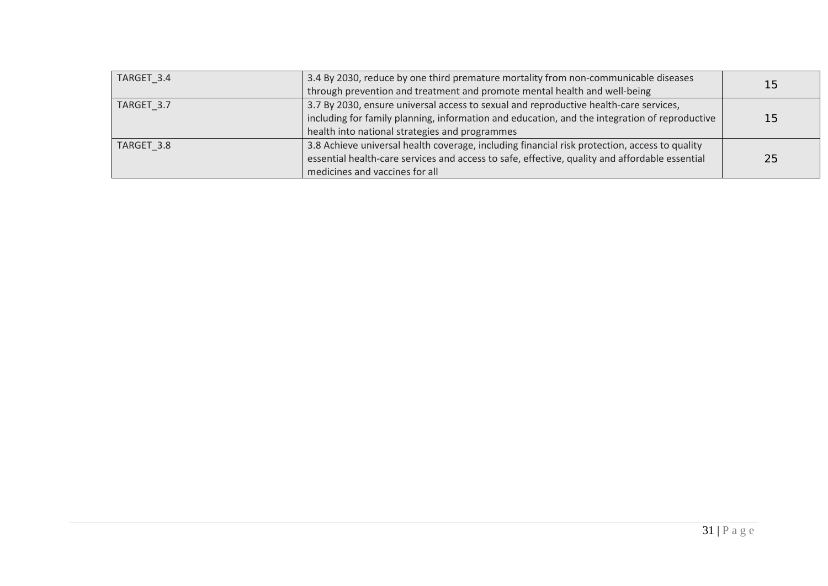| TARGET 3.4 | 3.4 By 2030, reduce by one third premature mortality from non-communicable diseases            | 15 |
|------------|------------------------------------------------------------------------------------------------|----|
|            | through prevention and treatment and promote mental health and well-being                      |    |
| TARGET 3.7 | 3.7 By 2030, ensure universal access to sexual and reproductive health-care services,          |    |
|            | including for family planning, information and education, and the integration of reproductive  | 15 |
|            | health into national strategies and programmes                                                 |    |
| TARGET 3.8 | 3.8 Achieve universal health coverage, including financial risk protection, access to quality  |    |
|            | essential health-care services and access to safe, effective, quality and affordable essential | 25 |
|            | medicines and vaccines for all                                                                 |    |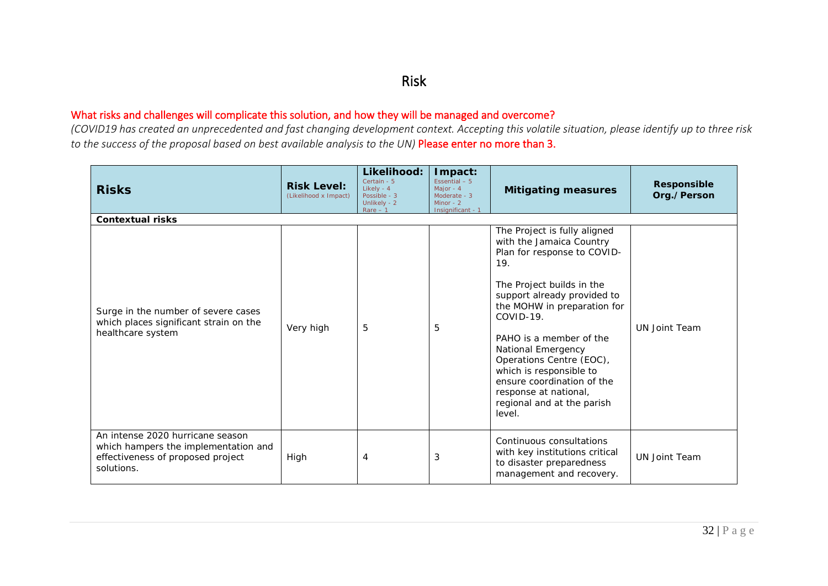### Risk

### What risks and challenges will complicate this solution, and how they will be managed and overcome?

*(COVID19 has created an unprecedented and fast changing development context. Accepting this volatile situation, please identify up to three risk to the success of the proposal based on best available analysis to the UN)* Please enter no more than 3.

| <b>Risks</b>                                                                                                                | <b>Risk Level:</b><br>(Likelihood x Impact) | Likelihood:<br>Certain - 5<br>Likely - 4<br>Possible - 3<br>Unlikely - 2<br>$Rare - 1$ | Impact:<br>Essential $-5$<br>Major - 4<br>Moderate - 3<br>Minor - $2$<br>Insignificant - 1 | <b>Mitigating measures</b>                                                                                                                                                                                                                                                                                                                                                                                    | Responsible<br>Org./Person |
|-----------------------------------------------------------------------------------------------------------------------------|---------------------------------------------|----------------------------------------------------------------------------------------|--------------------------------------------------------------------------------------------|---------------------------------------------------------------------------------------------------------------------------------------------------------------------------------------------------------------------------------------------------------------------------------------------------------------------------------------------------------------------------------------------------------------|----------------------------|
| <b>Contextual risks</b>                                                                                                     |                                             |                                                                                        |                                                                                            |                                                                                                                                                                                                                                                                                                                                                                                                               |                            |
| Surge in the number of severe cases<br>which places significant strain on the<br>healthcare system                          | Very high                                   | 5                                                                                      | 5                                                                                          | The Project is fully aligned<br>with the Jamaica Country<br>Plan for response to COVID-<br>19.<br>The Project builds in the<br>support already provided to<br>the MOHW in preparation for<br>COVID-19.<br>PAHO is a member of the<br>National Emergency<br>Operations Centre (EOC),<br>which is responsible to<br>ensure coordination of the<br>response at national,<br>regional and at the parish<br>level. | <b>UN Joint Team</b>       |
| An intense 2020 hurricane season<br>which hampers the implementation and<br>effectiveness of proposed project<br>solutions. | High                                        | 4                                                                                      | 3                                                                                          | Continuous consultations<br>with key institutions critical<br>to disaster preparedness<br>management and recovery.                                                                                                                                                                                                                                                                                            | <b>UN Joint Team</b>       |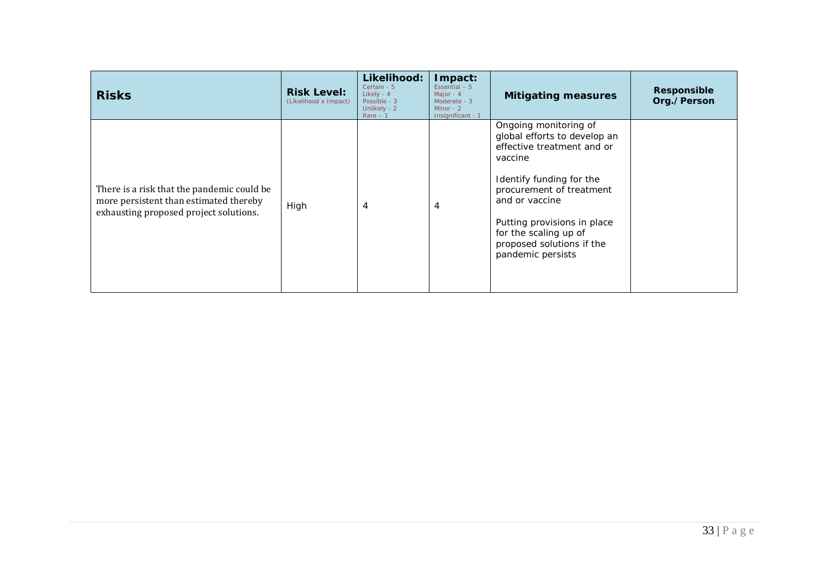| <b>Risks</b>                                                                                                                   | <b>Risk Level:</b><br>(Likelihood x Impact) | Likelihood:<br>Certain - 5<br>Likely - 4<br>Possible - 3<br>Unlikely - 2<br>$Rare - 1$ | Impact:<br>Essential $-5$<br>Major - $4$<br>Moderate - 3<br>Minor - $2$<br>Insignificant - 1 | <b>Mitigating measures</b>                                                                                                                                                                                                                                                         | Responsible<br>Org./Person |
|--------------------------------------------------------------------------------------------------------------------------------|---------------------------------------------|----------------------------------------------------------------------------------------|----------------------------------------------------------------------------------------------|------------------------------------------------------------------------------------------------------------------------------------------------------------------------------------------------------------------------------------------------------------------------------------|----------------------------|
| There is a risk that the pandemic could be<br>more persistent than estimated thereby<br>exhausting proposed project solutions. | High                                        | 4                                                                                      | 4                                                                                            | Ongoing monitoring of<br>global efforts to develop an<br>effective treatment and or<br>vaccine<br>Identify funding for the<br>procurement of treatment<br>and or vaccine<br>Putting provisions in place<br>for the scaling up of<br>proposed solutions if the<br>pandemic persists |                            |